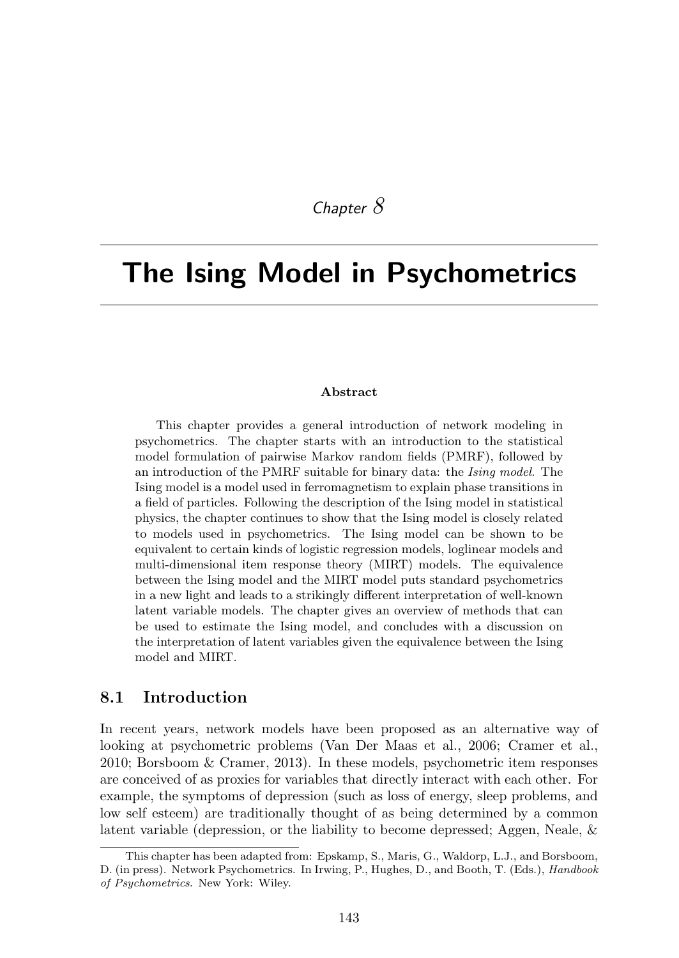# *Chapter 8*

# The Ising Model in Psychometrics

#### Abstract

This chapter provides a general introduction of network modeling in psychometrics. The chapter starts with an introduction to the statistical model formulation of pairwise Markov random fields (PMRF), followed by an introduction of the PMRF suitable for binary data: the *Ising model*. The Ising model is a model used in ferromagnetism to explain phase transitions in a field of particles. Following the description of the Ising model in statistical physics, the chapter continues to show that the Ising model is closely related to models used in psychometrics. The Ising model can be shown to be equivalent to certain kinds of logistic regression models, loglinear models and multi-dimensional item response theory (MIRT) models. The equivalence between the Ising model and the MIRT model puts standard psychometrics in a new light and leads to a strikingly different interpretation of well-known latent variable models. The chapter gives an overview of methods that can be used to estimate the Ising model, and concludes with a discussion on the interpretation of latent variables given the equivalence between the Ising model and MIRT.

### 8.1 Introduction

In recent years, network models have been proposed as an alternative way of looking at psychometric problems (Van Der Maas et al., 2006; Cramer et al., 2010; Borsboom & Cramer, 2013). In these models, psychometric item responses are conceived of as proxies for variables that directly interact with each other. For example, the symptoms of depression (such as loss of energy, sleep problems, and low self esteem) are traditionally thought of as being determined by a common latent variable (depression, or the liability to become depressed; Aggen, Neale, &

This chapter has been adapted from: Epskamp, S., Maris, G., Waldorp, L.J., and Borsboom, D. (in press). Network Psychometrics. In Irwing, P., Hughes, D., and Booth, T. (Eds.), *Handbook of Psychometrics*. New York: Wiley.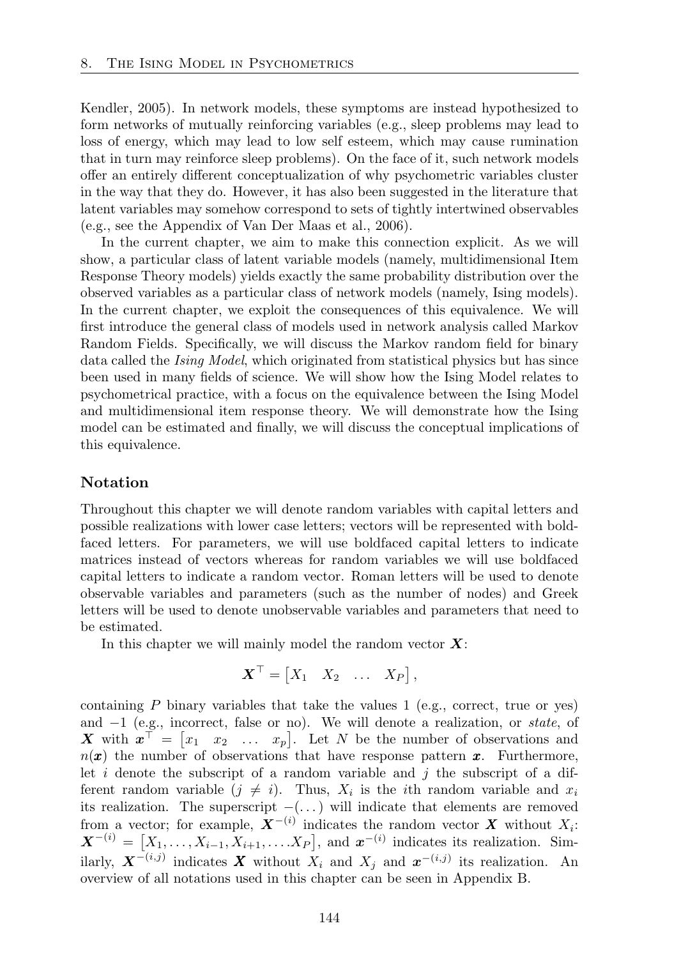Kendler, 2005). In network models, these symptoms are instead hypothesized to form networks of mutually reinforcing variables (e.g., sleep problems may lead to loss of energy, which may lead to low self esteem, which may cause rumination that in turn may reinforce sleep problems). On the face of it, such network models offer an entirely different conceptualization of why psychometric variables cluster in the way that they do. However, it has also been suggested in the literature that latent variables may somehow correspond to sets of tightly intertwined observables (e.g., see the Appendix of Van Der Maas et al., 2006).

In the current chapter, we aim to make this connection explicit. As we will show, a particular class of latent variable models (namely, multidimensional Item Response Theory models) yields exactly the same probability distribution over the observed variables as a particular class of network models (namely, Ising models). In the current chapter, we exploit the consequences of this equivalence. We will first introduce the general class of models used in network analysis called Markov Random Fields. Specifically, we will discuss the Markov random field for binary data called the *Ising Model*, which originated from statistical physics but has since been used in many fields of science. We will show how the Ising Model relates to psychometrical practice, with a focus on the equivalence between the Ising Model and multidimensional item response theory. We will demonstrate how the Ising model can be estimated and finally, we will discuss the conceptual implications of this equivalence.

#### Notation

Throughout this chapter we will denote random variables with capital letters and possible realizations with lower case letters; vectors will be represented with boldfaced letters. For parameters, we will use boldfaced capital letters to indicate matrices instead of vectors whereas for random variables we will use boldfaced capital letters to indicate a random vector. Roman letters will be used to denote observable variables and parameters (such as the number of nodes) and Greek letters will be used to denote unobservable variables and parameters that need to be estimated.

In this chapter we will mainly model the random vector *X*:

$$
\boldsymbol{X}^{\top} = \begin{bmatrix} X_1 & X_2 & \dots & X_P \end{bmatrix},
$$

containing *P* binary variables that take the values 1 (e.g., correct, true or yes) and *−*1 (e.g., incorrect, false or no). We will denote a realization, or *state*, of *X* with  $x^{\top} = \begin{bmatrix} x_1 & x_2 & \dots & x_p \end{bmatrix}$ . Let *N* be the number of observations and  $n(x)$  the number of observations that have response pattern  $x$ . Furthermore, let *i* denote the subscript of a random variable and *j* the subscript of a different random variable  $(j \neq i)$ . Thus,  $X_i$  is the *i*th random variable and  $x_i$ its realization. The superscript *−*(*...*) will indicate that elements are removed from a vector; for example,  $\mathbf{X}^{-(i)}$  indicates the random vector  $\mathbf{X}$  without  $X_i$ :  $\boldsymbol{X}^{- (i)} = [X_1, \ldots, X_{i-1}, X_{i+1}, \ldots, X_P],$  and  $\boldsymbol{x}^{- (i)}$  indicates its realization. Similarly,  $\boldsymbol{X}^{-\{i,j\}}$  indicates  $\boldsymbol{X}$  without  $\overline{X}_i$  and  $\overline{X}_j$  and  $\boldsymbol{x}^{-\{i,j\}}$  its realization. An overview of all notations used in this chapter can be seen in Appendix B.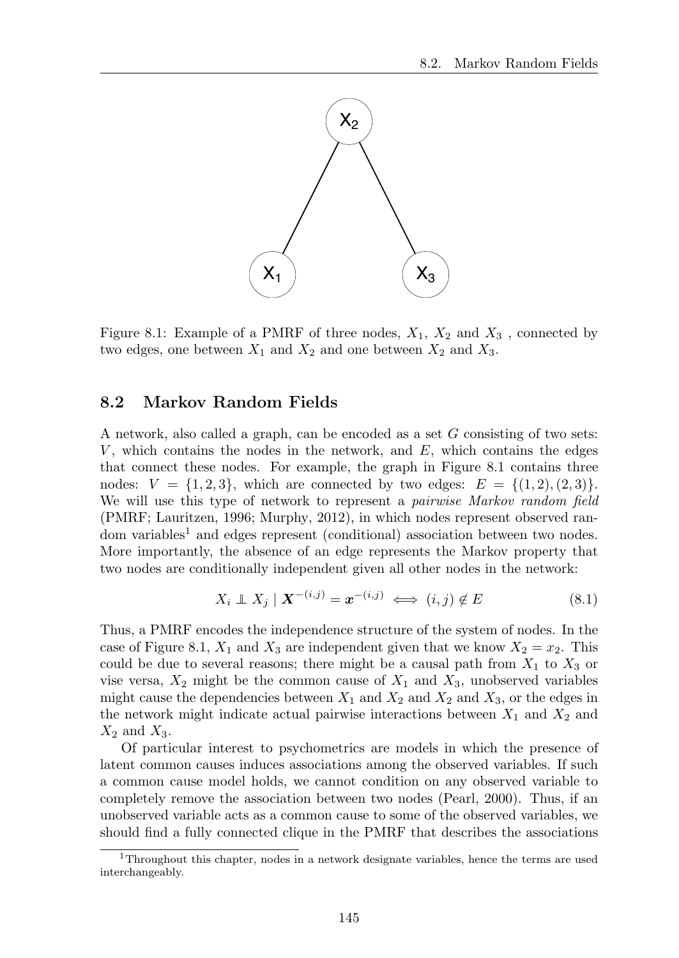

Figure 8.1: Example of a PMRF of three nodes, *X*1, *X*<sup>2</sup> and *X*<sup>3</sup> , connected by two edges, one between  $X_1$  and  $X_2$  and one between  $X_2$  and  $X_3$ .

### 8.2 Markov Random Fields

A network, also called a graph, can be encoded as a set *G* consisting of two sets: *V*, which contains the nodes in the network, and *E*, which contains the edges that connect these nodes. For example, the graph in Figure 8.1 contains three nodes:  $V = \{1, 2, 3\}$ , which are connected by two edges:  $E = \{(1, 2), (2, 3)\}$ . We will use this type of network to represent a *pairwise Markov random field* (PMRF; Lauritzen, 1996; Murphy, 2012), in which nodes represent observed random variables<sup>1</sup> and edges represent (conditional) association between two nodes. More importantly, the absence of an edge represents the Markov property that two nodes are conditionally independent given all other nodes in the network:

$$
X_i \perp X_j \mid \mathbf{X}^{-(i,j)} = \mathbf{x}^{-(i,j)} \iff (i,j) \notin E \tag{8.1}
$$

Thus, a PMRF encodes the independence structure of the system of nodes. In the case of Figure 8.1,  $X_1$  and  $X_3$  are independent given that we know  $X_2 = x_2$ . This could be due to several reasons; there might be a causal path from  $X_1$  to  $X_3$  or vise versa,  $X_2$  might be the common cause of  $X_1$  and  $X_3$ , unobserved variables might cause the dependencies between  $X_1$  and  $X_2$  and  $X_3$ , or the edges in the network might indicate actual pairwise interactions between  $X_1$  and  $X_2$  and *X*<sup>2</sup> and *X*3.

Of particular interest to psychometrics are models in which the presence of latent common causes induces associations among the observed variables. If such a common cause model holds, we cannot condition on any observed variable to completely remove the association between two nodes (Pearl, 2000). Thus, if an unobserved variable acts as a common cause to some of the observed variables, we should find a fully connected clique in the PMRF that describes the associations

<sup>1</sup>Throughout this chapter, nodes in a network designate variables, hence the terms are used interchangeably.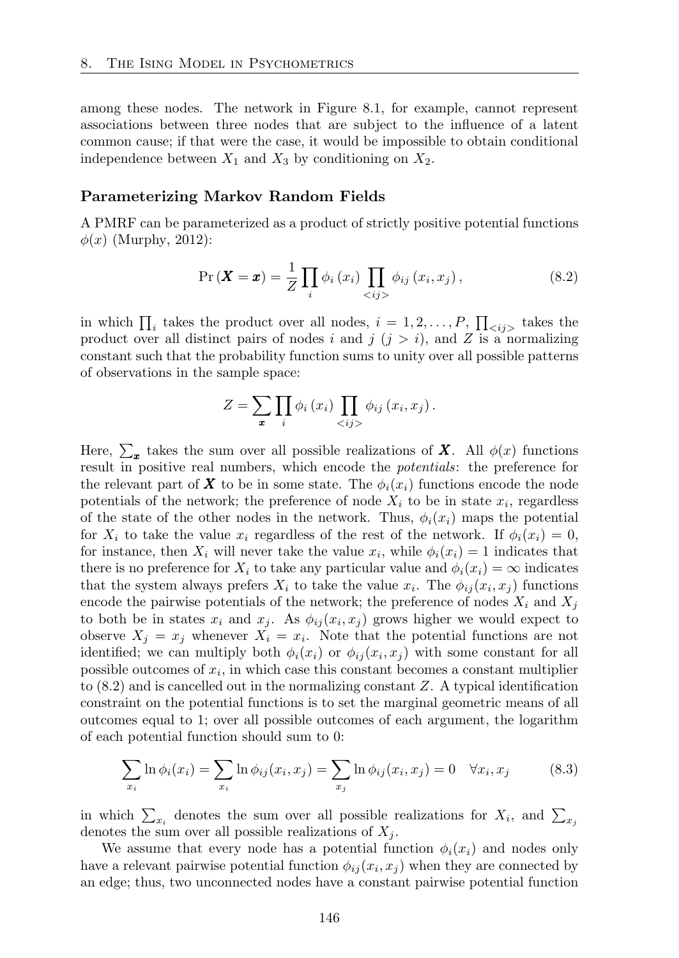among these nodes. The network in Figure 8.1, for example, cannot represent associations between three nodes that are subject to the influence of a latent common cause; if that were the case, it would be impossible to obtain conditional independence between  $X_1$  and  $X_3$  by conditioning on  $X_2$ .

#### Parameterizing Markov Random Fields

A PMRF can be parameterized as a product of strictly positive potential functions  $\phi(x)$  (Murphy, 2012):

$$
\Pr\left(\boldsymbol{X}=\boldsymbol{x}\right)=\frac{1}{Z}\prod_{i}\phi_{i}\left(x_{i}\right)\prod_{} \phi_{ij}\left(x_{i},x_{j}\right),\tag{8.2}
$$

in which  $\prod_i$  takes the product over all nodes,  $i = 1, 2, ..., P$ ,  $\prod_{\langle ij \rangle}$  takes the product over all distinct pairs of nodes *i* and  $j$  ( $j > i$ ), and *Z* is a normalizing constant such that the probability function sums to unity over all possible patterns of observations in the sample space:

$$
Z=\sum_{\boldsymbol{x}}\prod_{i}\phi_{i}\left(x_{i}\right)\prod_{}\phi_{ij}\left(x_{i},x_{j}\right).
$$

Here,  $\sum_{\mathbf{x}}$  takes the sum over all possible realizations of *X*. All  $\phi(x)$  functions result in positive real numbers, which encode the *potentials*: the preference for the relevant part of **X** to be in some state. The  $\phi_i(x_i)$  functions encode the node potentials of the network; the preference of node  $X_i$  to be in state  $x_i$ , regardless of the state of the other nodes in the network. Thus,  $\phi_i(x_i)$  maps the potential for  $X_i$  to take the value  $x_i$  regardless of the rest of the network. If  $\phi_i(x_i) = 0$ , for instance, then  $X_i$  will never take the value  $x_i$ , while  $\phi_i(x_i) = 1$  indicates that there is no preference for  $X_i$  to take any particular value and  $\phi_i(x_i) = \infty$  indicates that the system always prefers  $X_i$  to take the value  $x_i$ . The  $\phi_{ij}(x_i, x_j)$  functions encode the pairwise potentials of the network; the preference of nodes  $X_i$  and  $X_j$ to both be in states  $x_i$  and  $x_j$ . As  $\phi_{ij}(x_i, x_j)$  grows higher we would expect to observe  $X_j = x_j$  whenever  $X_i = x_i$ . Note that the potential functions are not identified; we can multiply both  $\phi_i(x_i)$  or  $\phi_{ij}(x_i, x_j)$  with some constant for all possible outcomes of  $x_i$ , in which case this constant becomes a constant multiplier to (8.2) and is cancelled out in the normalizing constant *Z*. A typical identification constraint on the potential functions is to set the marginal geometric means of all outcomes equal to 1; over all possible outcomes of each argument, the logarithm of each potential function should sum to 0:

$$
\sum_{x_i} \ln \phi_i(x_i) = \sum_{x_i} \ln \phi_{ij}(x_i, x_j) = \sum_{x_j} \ln \phi_{ij}(x_i, x_j) = 0 \quad \forall x_i, x_j \tag{8.3}
$$

in which  $\sum_{x_i}$  denotes the sum over all possible realizations for  $X_i$ , and  $\sum_{x_j}$ denotes the sum over all possible realizations of  $X_j$ .

We assume that every node has a potential function  $\phi_i(x_i)$  and nodes only have a relevant pairwise potential function  $\phi_{ij}(x_i, x_j)$  when they are connected by an edge; thus, two unconnected nodes have a constant pairwise potential function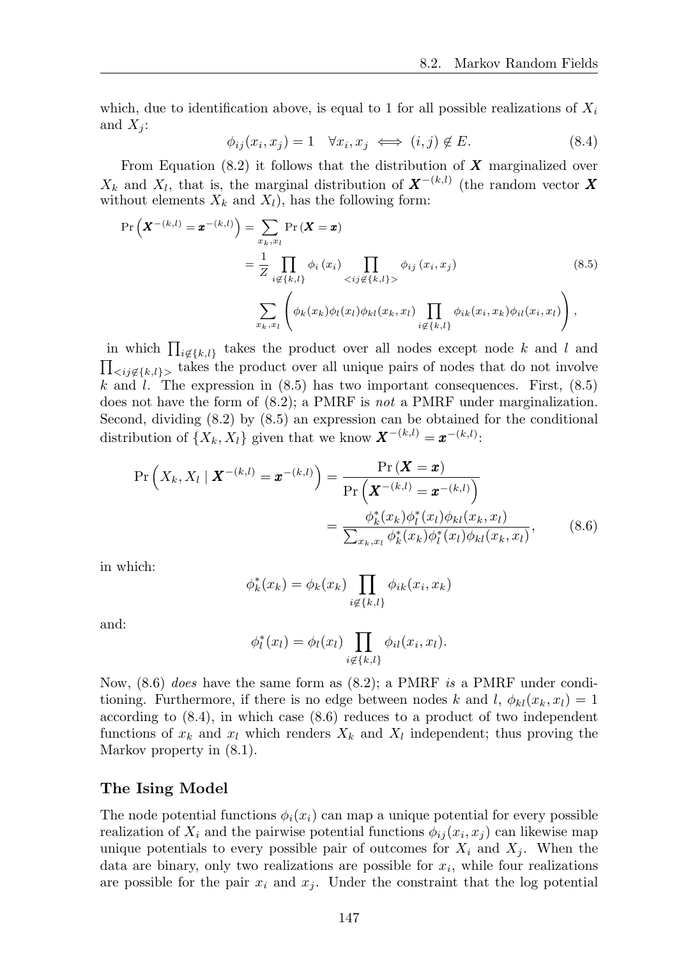which, due to identification above, is equal to 1 for all possible realizations of  $X_i$ and  $X_i$ :

$$
\phi_{ij}(x_i, x_j) = 1 \quad \forall x_i, x_j \iff (i, j) \notin E. \tag{8.4}
$$

From Equation (8.2) it follows that the distribution of *X* marginalized over  $X_k$  and  $X_l$ , that is, the marginal distribution of  $X^{-(k,l)}$  (the random vector *X* without elements  $X_k$  and  $X_l$ ), has the following form:

$$
\Pr\left(\boldsymbol{X}^{-(k,l)} = \boldsymbol{x}^{-(k,l)}\right) = \sum_{x_k, x_l} \Pr\left(\boldsymbol{X} = \boldsymbol{x}\right)
$$
\n
$$
= \frac{1}{Z} \prod_{i \notin \{k,l\}} \phi_i(x_i) \prod_{\langle i j \notin \{k,l\} \rangle} \phi_{ij}(x_i, x_j)
$$
\n
$$
\sum_{x_k, x_l} \left(\phi_k(x_k) \phi_l(x_l) \phi_{kl}(x_k, x_l) \prod_{i \notin \{k,l\}} \phi_{ik}(x_i, x_k) \phi_{il}(x_i, x_l)\right),
$$
\n(8.5)

in which  $\prod_{i \notin \{k,l\}}$  takes the product over all nodes except node *k* and *l* and  $\prod_{\{i,j\notin\{k,l\}\}}$  takes the product over all unique pairs of nodes that do not involve *k* and *l*. The expression in (8.5) has two important consequences. First, (8.5) does not have the form of (8.2); a PMRF is *not* a PMRF under marginalization. Second, dividing (8.2) by (8.5) an expression can be obtained for the conditional distribution of  $\{X_k, X_l\}$  given that we know  $\mathbf{X}^{-(k,l)} = \mathbf{x}^{-(k,l)}$ :

$$
\Pr\left(X_k, X_l \mid \boldsymbol{X}^{-(k,l)} = \boldsymbol{x}^{-(k,l)}\right) = \frac{\Pr\left(\boldsymbol{X} = \boldsymbol{x}\right)}{\Pr\left(\boldsymbol{X}^{-(k,l)} = \boldsymbol{x}^{-(k,l)}\right)} \\
= \frac{\phi_k^*(x_k)\phi_l^*(x_l)\phi_{kl}(x_k, x_l)}{\sum_{x_k, x_l} \phi_k^*(x_k)\phi_l^*(x_l)\phi_{kl}(x_k, x_l)},\tag{8.6}
$$

in which:

$$
\phi_k^*(x_k) = \phi_k(x_k) \prod_{i \notin \{k,l\}} \phi_{ik}(x_i, x_k)
$$

and:

$$
\phi_l^*(x_l) = \phi_l(x_l) \prod_{i \notin \{k,l\}} \phi_{il}(x_i, x_l).
$$

Now, (8.6) *does* have the same form as (8.2); a PMRF *is* a PMRF under conditioning. Furthermore, if there is no edge between nodes *k* and *l*,  $\phi_{kl}(x_k, x_l) = 1$ according to (8.4), in which case (8.6) reduces to a product of two independent functions of  $x_k$  and  $x_l$  which renders  $X_k$  and  $X_l$  independent; thus proving the Markov property in (8.1).

#### The Ising Model

The node potential functions  $\phi_i(x_i)$  can map a unique potential for every possible realization of  $X_i$  and the pairwise potential functions  $\phi_{ij}(x_i, x_j)$  can likewise map unique potentials to every possible pair of outcomes for  $X_i$  and  $X_j$ . When the data are binary, only two realizations are possible for  $x_i$ , while four realizations are possible for the pair  $x_i$  and  $x_j$ . Under the constraint that the log potential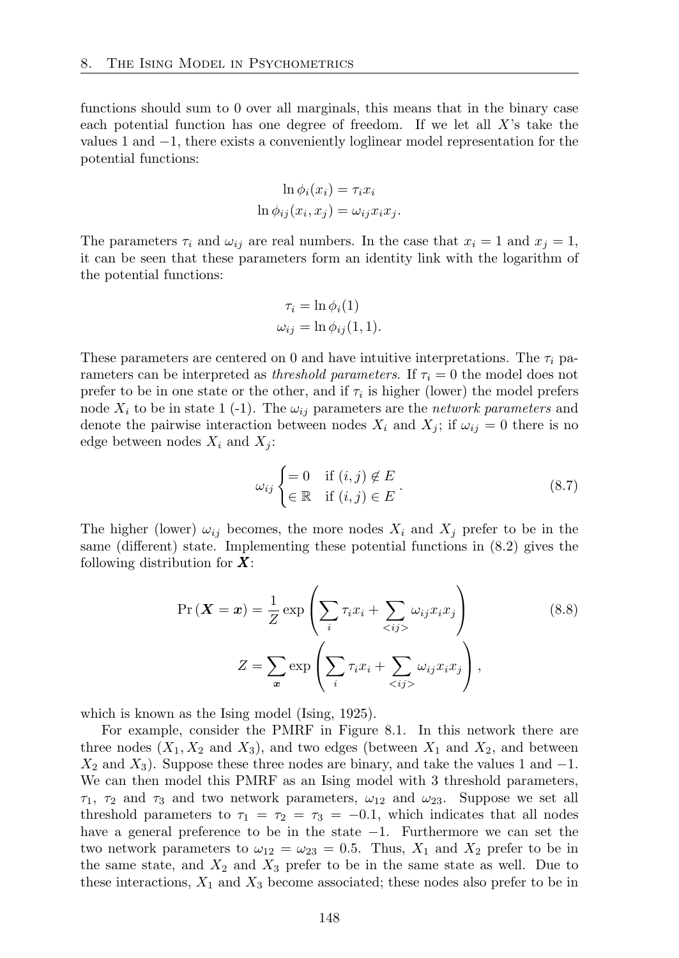functions should sum to 0 over all marginals, this means that in the binary case each potential function has one degree of freedom. If we let all *X*'s take the values 1 and *−*1, there exists a conveniently loglinear model representation for the potential functions:

$$
\ln \phi_i(x_i) = \tau_i x_i
$$
  

$$
\ln \phi_{ij}(x_i, x_j) = \omega_{ij} x_i x_j.
$$

The parameters  $\tau_i$  and  $\omega_{ij}$  are real numbers. In the case that  $x_i = 1$  and  $x_j = 1$ , it can be seen that these parameters form an identity link with the logarithm of the potential functions:

$$
\tau_i = \ln \phi_i(1)
$$
  

$$
\omega_{ij} = \ln \phi_{ij}(1, 1).
$$

These parameters are centered on 0 and have intuitive interpretations. The  $\tau_i$  parameters can be interpreted as *threshold parameters*. If  $\tau_i = 0$  the model does not prefer to be in one state or the other, and if  $\tau_i$  is higher (lower) the model prefers node  $X_i$  to be in state 1 (-1). The  $\omega_{ij}$  parameters are the *network parameters* and denote the pairwise interaction between nodes  $X_i$  and  $X_j$ ; if  $\omega_{ij} = 0$  there is no edge between nodes  $X_i$  and  $X_j$ :

$$
\omega_{ij} \begin{cases} = 0 & \text{if } (i,j) \notin E \\ \in \mathbb{R} & \text{if } (i,j) \in E \end{cases} .
$$
 (8.7)

The higher (lower)  $\omega_{ij}$  becomes, the more nodes  $X_i$  and  $X_j$  prefer to be in the same (different) state. Implementing these potential functions in  $(8.2)$  gives the following distribution for *X*:

$$
\Pr\left(\boldsymbol{X} = \boldsymbol{x}\right) = \frac{1}{Z} \exp\left(\sum_{i} \tau_{i} x_{i} + \sum_{< ij>} \omega_{ij} x_{i} x_{j}\right)
$$
\n
$$
Z = \sum_{\boldsymbol{x}} \exp\left(\sum_{i} \tau_{i} x_{i} + \sum_{< ij>} \omega_{ij} x_{i} x_{j}\right),
$$
\n(8.8)

which is known as the Ising model (Ising, 1925).

For example, consider the PMRF in Figure 8.1. In this network there are three nodes  $(X_1, X_2 \text{ and } X_3)$ , and two edges (between  $X_1$  and  $X_2$ , and between *X*<sup>2</sup> and *X*3). Suppose these three nodes are binary, and take the values 1 and *−*1. We can then model this PMRF as an Ising model with 3 threshold parameters,  $\tau_1$ ,  $\tau_2$  and  $\tau_3$  and two network parameters,  $\omega_{12}$  and  $\omega_{23}$ . Suppose we set all threshold parameters to  $\tau_1 = \tau_2 = \tau_3 = -0.1$ , which indicates that all nodes have a general preference to be in the state *−*1. Furthermore we can set the two network parameters to  $\omega_{12} = \omega_{23} = 0.5$ . Thus,  $X_1$  and  $X_2$  prefer to be in the same state, and  $X_2$  and  $X_3$  prefer to be in the same state as well. Due to these interactions,  $X_1$  and  $X_3$  become associated; these nodes also prefer to be in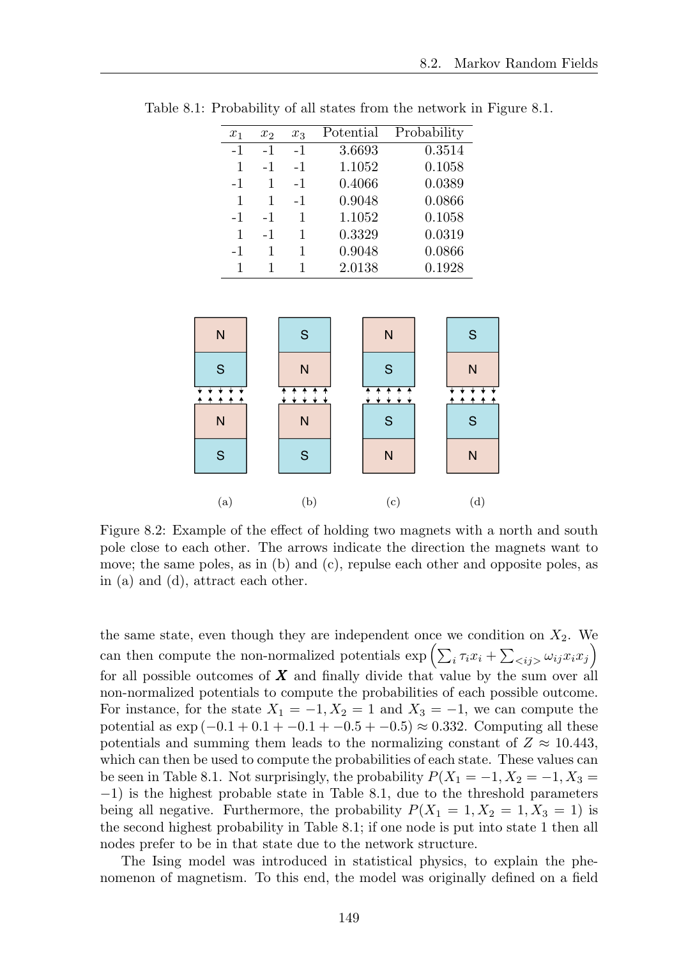| $x_1$ | x <sub>2</sub> | $x_3$ | Potential | Probability |
|-------|----------------|-------|-----------|-------------|
| $-1$  | -1             | $-1$  | 3.6693    | 0.3514      |
| 1     | -1             | $-1$  | 1.1052    | 0.1058      |
| $-1$  | 1              | $-1$  | 0.4066    | 0.0389      |
| 1     | 1              | $-1$  | 0.9048    | 0.0866      |
| $-1$  | $-1$           | 1     | 1.1052    | 0.1058      |
| 1     | -1             | 1     | 0.3329    | 0.0319      |
| $-1$  |                | 1     | 0.9048    | 0.0866      |
| 1     |                |       | 2.0138    | 0.1928      |

Table 8.1: Probability of all states from the network in Figure 8.1.



Figure 8.2: Example of the effect of holding two magnets with a north and south pole close to each other. The arrows indicate the direction the magnets want to move; the same poles, as in (b) and (c), repulse each other and opposite poles, as in (a) and (d), attract each other.

the same state, even though they are independent once we condition on  $X_2$ . We can then compute the non-normalized potentials  $\exp\left(\sum_i \tau_i x_i + \sum_{} \omega_{ij} x_i x_j\right)$ for all possible outcomes of *X* and finally divide that value by the sum over all non-normalized potentials to compute the probabilities of each possible outcome. For instance, for the state  $X_1 = -1, X_2 = 1$  and  $X_3 = -1$ , we can compute the potential as  $\exp(-0.1 + 0.1 + -0.1 + -0.5 + -0.5) \approx 0.332$ . Computing all these potentials and summing them leads to the normalizing constant of  $Z \approx 10.443$ , which can then be used to compute the probabilities of each state. These values can be seen in Table 8.1. Not surprisingly, the probability  $P(X_1 = -1, X_2 = -1, X_3 =$ *−*1) is the highest probable state in Table 8.1, due to the threshold parameters being all negative. Furthermore, the probability  $P(X_1 = 1, X_2 = 1, X_3 = 1)$  is the second highest probability in Table 8.1; if one node is put into state 1 then all nodes prefer to be in that state due to the network structure.

The Ising model was introduced in statistical physics, to explain the phenomenon of magnetism. To this end, the model was originally defined on a field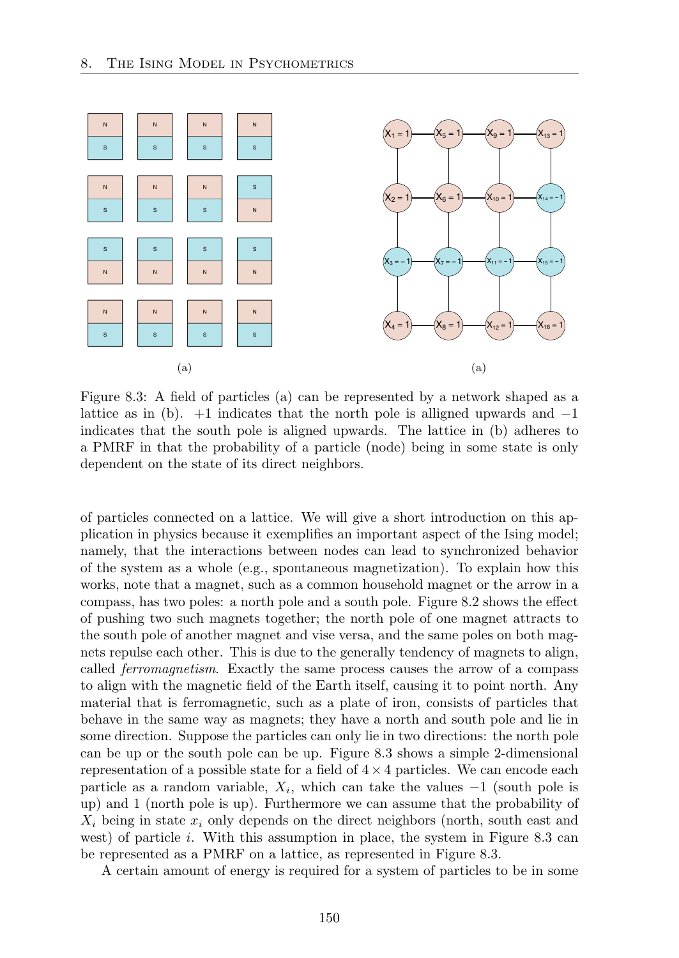

Figure 8.3: A field of particles (a) can be represented by a network shaped as a lattice as in (b). +1 indicates that the north pole is alligned upwards and *−*1 indicates that the south pole is aligned upwards. The lattice in (b) adheres to a PMRF in that the probability of a particle (node) being in some state is only dependent on the state of its direct neighbors.

of particles connected on a lattice. We will give a short introduction on this application in physics because it exemplifies an important aspect of the Ising model; namely, that the interactions between nodes can lead to synchronized behavior of the system as a whole (e.g., spontaneous magnetization). To explain how this works, note that a magnet, such as a common household magnet or the arrow in a compass, has two poles: a north pole and a south pole. Figure 8.2 shows the effect of pushing two such magnets together; the north pole of one magnet attracts to the south pole of another magnet and vise versa, and the same poles on both magnets repulse each other. This is due to the generally tendency of magnets to align, called *ferromagnetism*. Exactly the same process causes the arrow of a compass to align with the magnetic field of the Earth itself, causing it to point north. Any material that is ferromagnetic, such as a plate of iron, consists of particles that behave in the same way as magnets; they have a north and south pole and lie in some direction. Suppose the particles can only lie in two directions: the north pole can be up or the south pole can be up. Figure 8.3 shows a simple 2-dimensional representation of a possible state for a field of  $4 \times 4$  particles. We can encode each particle as a random variable,  $X_i$ , which can take the values  $-1$  (south pole is up) and 1 (north pole is up). Furthermore we can assume that the probability of *X<sup>i</sup>* being in state *x<sup>i</sup>* only depends on the direct neighbors (north, south east and west) of particle *i*. With this assumption in place, the system in Figure 8.3 can be represented as a PMRF on a lattice, as represented in Figure 8.3.

A certain amount of energy is required for a system of particles to be in some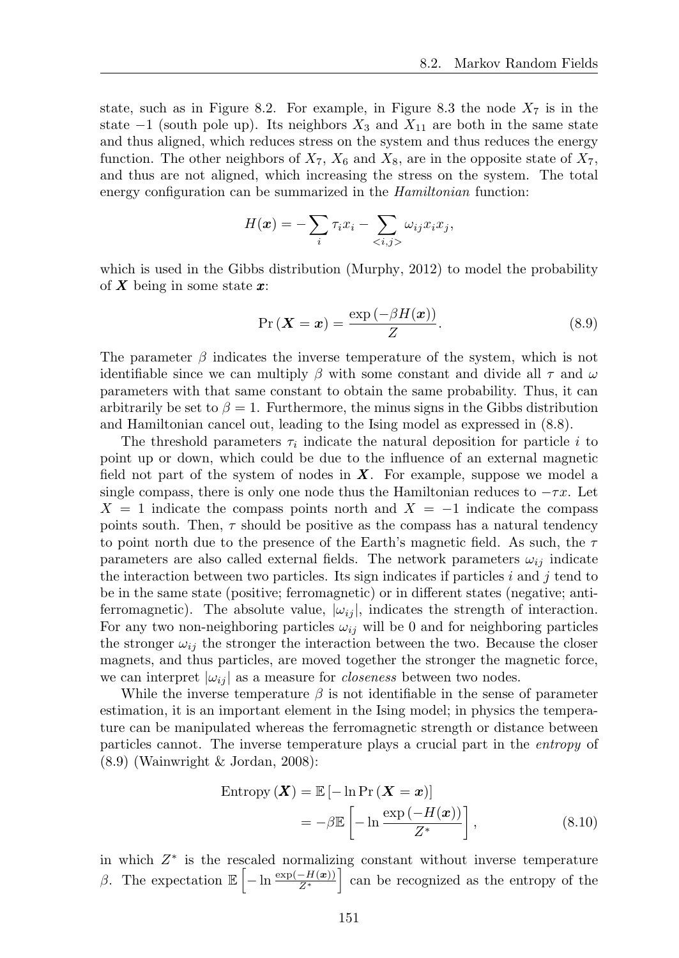state, such as in Figure 8.2. For example, in Figure 8.3 the node  $X_7$  is in the state  $-1$  (south pole up). Its neighbors  $X_3$  and  $X_{11}$  are both in the same state and thus aligned, which reduces stress on the system and thus reduces the energy function. The other neighbors of  $X_7$ ,  $X_6$  and  $X_8$ , are in the opposite state of  $X_7$ , and thus are not aligned, which increasing the stress on the system. The total energy configuration can be summarized in the *Hamiltonian* function:

$$
H(\boldsymbol{x}) = -\sum_{i} \tau_i x_i - \sum_{\langle i,j \rangle} \omega_{ij} x_i x_j,
$$

which is used in the Gibbs distribution (Murphy, 2012) to model the probability of *X* being in some state *x*:

$$
\Pr\left(\mathbf{X} = \mathbf{x}\right) = \frac{\exp\left(-\beta H(\mathbf{x})\right)}{Z}.\tag{8.9}
$$

The parameter  $\beta$  indicates the inverse temperature of the system, which is not identifiable since we can multiply  $\beta$  with some constant and divide all  $\tau$  and  $\omega$ parameters with that same constant to obtain the same probability. Thus, it can arbitrarily be set to  $\beta = 1$ . Furthermore, the minus signs in the Gibbs distribution and Hamiltonian cancel out, leading to the Ising model as expressed in (8.8).

The threshold parameters  $\tau_i$  indicate the natural deposition for particle *i* to point up or down, which could be due to the influence of an external magnetic field not part of the system of nodes in *X*. For example, suppose we model a single compass, there is only one node thus the Hamiltonian reduces to  $-\tau x$ . Let  $X = 1$  indicate the compass points north and  $X = -1$  indicate the compass points south. Then,  $\tau$  should be positive as the compass has a natural tendency to point north due to the presence of the Earth's magnetic field. As such, the  $\tau$ parameters are also called external fields. The network parameters  $\omega_{ij}$  indicate the interaction between two particles. Its sign indicates if particles *i* and *j* tend to be in the same state (positive; ferromagnetic) or in different states (negative; antiferromagnetic). The absolute value,  $|\omega_{ii}|$ , indicates the strength of interaction. For any two non-neighboring particles  $\omega_{ij}$  will be 0 and for neighboring particles the stronger  $\omega_{ij}$  the stronger the interaction between the two. Because the closer magnets, and thus particles, are moved together the stronger the magnetic force, we can interpret  $|\omega_{ij}|$  as a measure for *closeness* between two nodes.

While the inverse temperature  $\beta$  is not identifiable in the sense of parameter estimation, it is an important element in the Ising model; in physics the temperature can be manipulated whereas the ferromagnetic strength or distance between particles cannot. The inverse temperature plays a crucial part in the *entropy* of (8.9) (Wainwright & Jordan, 2008):

Entropy 
$$
(\boldsymbol{X}) = \mathbb{E} \left[ -\ln \Pr \left( \boldsymbol{X} = \boldsymbol{x} \right) \right]
$$
  
=  $-\beta \mathbb{E} \left[ -\ln \frac{\exp \left( -H(\boldsymbol{x}) \right)}{Z^*} \right],$  (8.10)

in which  $Z^*$  is the rescaled normalizing constant without inverse temperature *β*. The expectation  $\mathbb{E}\left[-\ln \frac{\exp(-H(\bm{x}))}{Z^*}\right]$ i can be recognized as the entropy of the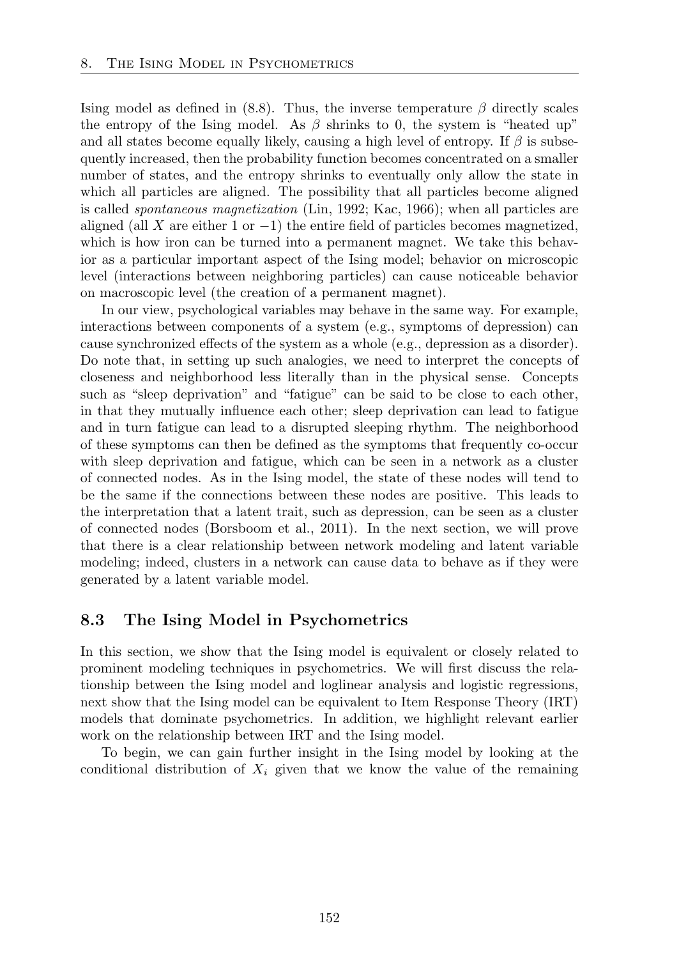Ising model as defined in  $(8.8)$ . Thus, the inverse temperature  $\beta$  directly scales the entropy of the Ising model. As  $\beta$  shrinks to 0, the system is "heated up" and all states become equally likely, causing a high level of entropy. If  $\beta$  is subsequently increased, then the probability function becomes concentrated on a smaller number of states, and the entropy shrinks to eventually only allow the state in which all particles are aligned. The possibility that all particles become aligned is called *spontaneous magnetization* (Lin, 1992; Kac, 1966); when all particles are aligned (all *X* are either 1 or *−*1) the entire field of particles becomes magnetized, which is how iron can be turned into a permanent magnet. We take this behavior as a particular important aspect of the Ising model; behavior on microscopic level (interactions between neighboring particles) can cause noticeable behavior on macroscopic level (the creation of a permanent magnet).

In our view, psychological variables may behave in the same way. For example, interactions between components of a system (e.g., symptoms of depression) can cause synchronized effects of the system as a whole (e.g., depression as a disorder). Do note that, in setting up such analogies, we need to interpret the concepts of closeness and neighborhood less literally than in the physical sense. Concepts such as "sleep deprivation" and "fatigue" can be said to be close to each other, in that they mutually influence each other; sleep deprivation can lead to fatigue and in turn fatigue can lead to a disrupted sleeping rhythm. The neighborhood of these symptoms can then be defined as the symptoms that frequently co-occur with sleep deprivation and fatigue, which can be seen in a network as a cluster of connected nodes. As in the Ising model, the state of these nodes will tend to be the same if the connections between these nodes are positive. This leads to the interpretation that a latent trait, such as depression, can be seen as a cluster of connected nodes (Borsboom et al., 2011). In the next section, we will prove that there is a clear relationship between network modeling and latent variable modeling; indeed, clusters in a network can cause data to behave as if they were generated by a latent variable model.

## 8.3 The Ising Model in Psychometrics

In this section, we show that the Ising model is equivalent or closely related to prominent modeling techniques in psychometrics. We will first discuss the relationship between the Ising model and loglinear analysis and logistic regressions, next show that the Ising model can be equivalent to Item Response Theory (IRT) models that dominate psychometrics. In addition, we highlight relevant earlier work on the relationship between IRT and the Ising model.

To begin, we can gain further insight in the Ising model by looking at the conditional distribution of  $X_i$  given that we know the value of the remaining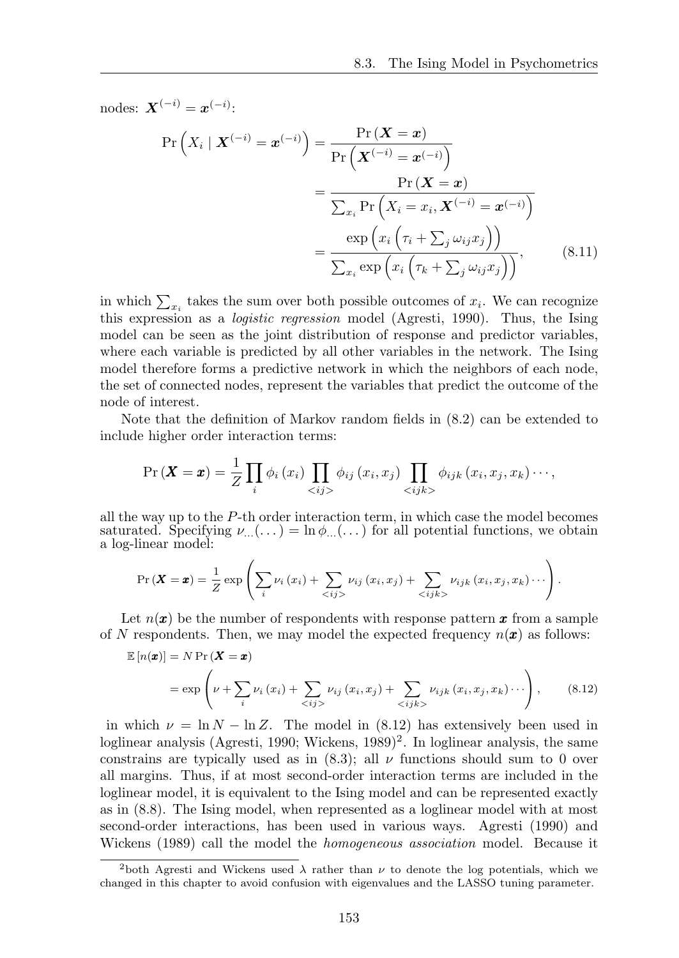nodes:  $X^{(-i)} = x^{(-i)}$ :

$$
\Pr\left(X_i \mid \boldsymbol{X}^{(-i)} = \boldsymbol{x}^{(-i)}\right) = \frac{\Pr\left(\boldsymbol{X} = \boldsymbol{x}\right)}{\Pr\left(\boldsymbol{X}^{(-i)} = \boldsymbol{x}^{(-i)}\right)} \\
= \frac{\Pr\left(\boldsymbol{X} = \boldsymbol{x}\right)}{\sum_{x_i} \Pr\left(X_i = x_i, \boldsymbol{X}^{(-i)} = \boldsymbol{x}^{(-i)}\right)} \\
= \frac{\exp\left(x_i \left(\tau_i + \sum_j \omega_{ij} x_j\right)\right)}{\sum_{x_i} \exp\left(x_i \left(\tau_k + \sum_j \omega_{ij} x_j\right)\right)},\tag{8.11}
$$

in which  $\sum_{x_i}$  takes the sum over both possible outcomes of  $x_i$ . We can recognize this expression as a *logistic regression* model (Agresti, 1990). Thus, the Ising model can be seen as the joint distribution of response and predictor variables, where each variable is predicted by all other variables in the network. The Ising model therefore forms a predictive network in which the neighbors of each node, the set of connected nodes, represent the variables that predict the outcome of the node of interest.

Note that the definition of Markov random fields in (8.2) can be extended to include higher order interaction terms:

$$
\Pr\left(\boldsymbol{X}=\boldsymbol{x}\right)=\frac{1}{Z}\prod_{i}\phi_{i}\left(x_{i}\right)\prod_{< ij>}\phi_{ij}\left(x_{i},x_{j}\right)\prod_{< ijk>}\phi_{ijk}\left(x_{i},x_{j},x_{k}\right)\cdots,
$$

all the way up to the *P*-th order interaction term, in which case the model becomes saturated. Specifying  $\nu_{...}(\ldots) = \ln \phi_{...}(\ldots)$  for all potential functions, we obtain a log-linear model:

$$
\Pr\left(\boldsymbol{X}=\boldsymbol{x}\right)=\frac{1}{Z}\exp\left(\sum_{i}\nu_{i}\left(x_{i}\right)+\sum_{}\nu_{ij}\left(x_{i},x_{j}\right)+\sum_{}\nu_{ijk}\left(x_{i},x_{j},x_{k}\right)\cdots\right).
$$

Let  $n(\mathbf{x})$  be the number of respondents with response pattern  $\mathbf{x}$  from a sample of N respondents. Then, we may model the expected frequency  $n(\mathbf{x})$  as follows:

$$
\mathbb{E}\left[n(\boldsymbol{x})\right] = N \Pr\left(\boldsymbol{X} = \boldsymbol{x}\right)
$$
\n
$$
= \exp\left(\nu + \sum_{i} \nu_{i}\left(x_{i}\right) + \sum_{< ij>}\nu_{ij}\left(x_{i}, x_{j}\right) + \sum_{< ijk>} \nu_{ijk}\left(x_{i}, x_{j}, x_{k}\right)\cdots\right), \qquad (8.12)
$$

in which  $\nu = \ln N - \ln Z$ . The model in (8.12) has extensively been used in loglinear analysis (Agresti, 1990; Wickens,  $1989$ )<sup>2</sup>. In loglinear analysis, the same constrains are typically used as in  $(8.3)$ ; all  $\nu$  functions should sum to 0 over all margins. Thus, if at most second-order interaction terms are included in the loglinear model, it is equivalent to the Ising model and can be represented exactly as in (8.8). The Ising model, when represented as a loglinear model with at most second-order interactions, has been used in various ways. Agresti (1990) and Wickens (1989) call the model the *homogeneous association* model. Because it

<sup>&</sup>lt;sup>2</sup>both Agresti and Wickens used  $\lambda$  rather than  $\nu$  to denote the log potentials, which we changed in this chapter to avoid confusion with eigenvalues and the LASSO tuning parameter.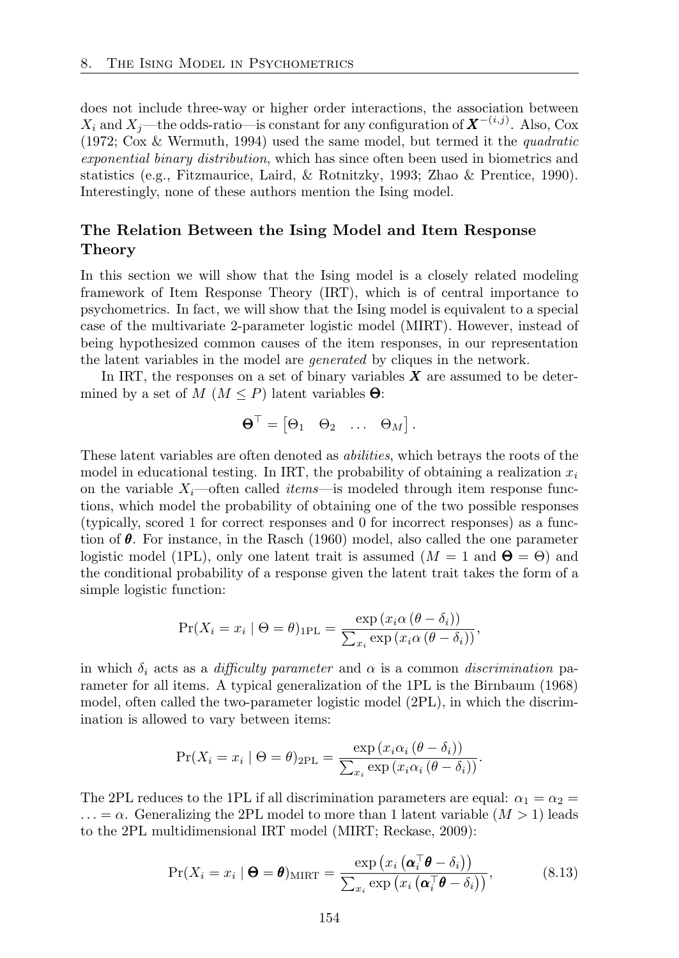does not include three-way or higher order interactions, the association between *X*<sup>*i*</sup> and *X*<sup>*j*—the odds-ratio—is constant for any configuration of  $X$ <sup>-(*i,j*)</sup>. Also, Cox</sup> (1972; Cox & Wermuth, 1994) used the same model, but termed it the *quadratic exponential binary distribution*, which has since often been used in biometrics and statistics (e.g., Fitzmaurice, Laird, & Rotnitzky, 1993; Zhao & Prentice, 1990). Interestingly, none of these authors mention the Ising model.

# The Relation Between the Ising Model and Item Response Theory

In this section we will show that the Ising model is a closely related modeling framework of Item Response Theory (IRT), which is of central importance to psychometrics. In fact, we will show that the Ising model is equivalent to a special case of the multivariate 2-parameter logistic model (MIRT). However, instead of being hypothesized common causes of the item responses, in our representation the latent variables in the model are *generated* by cliques in the network.

In IRT, the responses on a set of binary variables *X* are assumed to be determined by a set of *M* ( $M \leq P$ ) latent variables  $\Theta$ :

$$
\mathbf{\Theta}^{\top} = \begin{bmatrix} \Theta_1 & \Theta_2 & \dots & \Theta_M \end{bmatrix}.
$$

These latent variables are often denoted as *abilities*, which betrays the roots of the model in educational testing. In IRT, the probability of obtaining a realization *x<sup>i</sup>* on the variable  $X_i$ —often called *items*—is modeled through item response functions, which model the probability of obtaining one of the two possible responses (typically, scored 1 for correct responses and 0 for incorrect responses) as a function of  $\theta$ . For instance, in the Rasch (1960) model, also called the one parameter logistic model (1PL), only one latent trait is assumed  $(M = 1 \text{ and } \Theta = \Theta)$  and the conditional probability of a response given the latent trait takes the form of a simple logistic function:

$$
\Pr(X_i = x_i \mid \Theta = \theta)_{\text{1PL}} = \frac{\exp(x_i \alpha (\theta - \delta_i))}{\sum_{x_i} \exp(x_i \alpha (\theta - \delta_i))},
$$

in which  $\delta_i$  acts as a *difficulty parameter* and  $\alpha$  is a common *discrimination* parameter for all items. A typical generalization of the 1PL is the Birnbaum (1968) model, often called the two-parameter logistic model (2PL), in which the discrimination is allowed to vary between items:

$$
\Pr(X_i = x_i \mid \Theta = \theta)_{\text{2PL}} = \frac{\exp(x_i \alpha_i (\theta - \delta_i))}{\sum_{x_i} \exp(x_i \alpha_i (\theta - \delta_i))}.
$$

The 2PL reduces to the 1PL if all discrimination parameters are equal:  $\alpha_1 = \alpha_2 =$  $\ldots = \alpha$ . Generalizing the 2PL model to more than 1 latent variable  $(M > 1)$  leads to the 2PL multidimensional IRT model (MIRT; Reckase, 2009):

$$
\Pr(X_i = x_i \mid \boldsymbol{\Theta} = \boldsymbol{\theta})_{\text{MIRT}} = \frac{\exp(x_i (\boldsymbol{\alpha}_i^{\top} \boldsymbol{\theta} - \delta_i))}{\sum_{x_i} \exp(x_i (\boldsymbol{\alpha}_i^{\top} \boldsymbol{\theta} - \delta_i))},
$$
(8.13)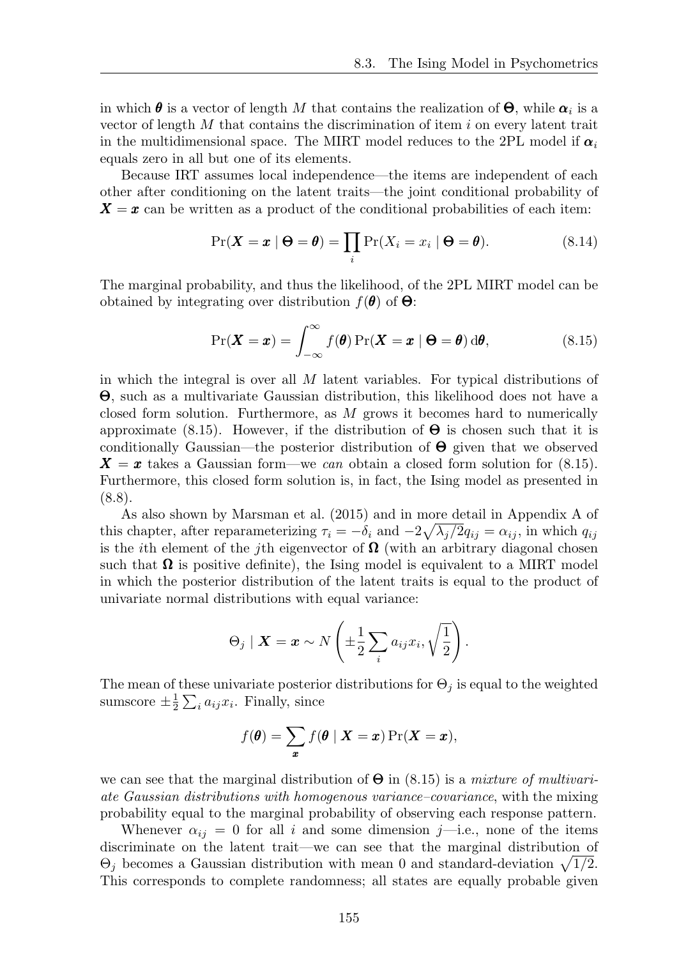in which  $\theta$  is a vector of length M that contains the realization of  $\Theta$ , while  $\alpha_i$  is a vector of length *M* that contains the discrimination of item *i* on every latent trait in the multidimensional space. The MIRT model reduces to the 2PL model if  $\alpha_i$ equals zero in all but one of its elements.

Because IRT assumes local independence—the items are independent of each other after conditioning on the latent traits—the joint conditional probability of  $X = x$  can be written as a product of the conditional probabilities of each item:

$$
\Pr(\boldsymbol{X} = \boldsymbol{x} \mid \boldsymbol{\Theta} = \boldsymbol{\theta}) = \prod_{i} \Pr(X_i = x_i \mid \boldsymbol{\Theta} = \boldsymbol{\theta}). \tag{8.14}
$$

The marginal probability, and thus the likelihood, of the 2PL MIRT model can be obtained by integrating over distribution  $f(\theta)$  of  $\Theta$ :

$$
\Pr(\boldsymbol{X} = \boldsymbol{x}) = \int_{-\infty}^{\infty} f(\boldsymbol{\theta}) \Pr(\boldsymbol{X} = \boldsymbol{x} \mid \boldsymbol{\Theta} = \boldsymbol{\theta}) \, \mathrm{d}\boldsymbol{\theta}, \tag{8.15}
$$

in which the integral is over all *M* latent variables. For typical distributions of ⇥, such as a multivariate Gaussian distribution, this likelihood does not have a closed form solution. Furthermore, as *M* grows it becomes hard to numerically approximate (8.15). However, if the distribution of  $\Theta$  is chosen such that it is conditionally Gaussian—the posterior distribution of  $\Theta$  given that we observed  $X = x$  takes a Gaussian form—we *can* obtain a closed form solution for (8.15). Furthermore, this closed form solution is, in fact, the Ising model as presented in (8.8).

As also shown by Marsman et al. (2015) and in more detail in Appendix A of this chapter, after reparameterizing  $\tau_i = -\delta_i$  and  $-2\sqrt{\lambda_j/2}q_{ij} = \alpha_{ij}$ , in which  $q_{ij}$ is the *i*th element of the *j*th eigenvector of  $\Omega$  (with an arbitrary diagonal chosen such that  $\Omega$  is positive definite), the Ising model is equivalent to a MIRT model in which the posterior distribution of the latent traits is equal to the product of univariate normal distributions with equal variance:

$$
\Theta_j \mid \mathbf{X} = \mathbf{x} \sim N \left( \pm \frac{1}{2} \sum_i a_{ij} x_i, \sqrt{\frac{1}{2}} \right).
$$

The mean of these univariate posterior distributions for  $\Theta_j$  is equal to the weighted sumscore  $\pm \frac{1}{2} \sum_{i} a_{ij} x_i$ . Finally, since

$$
f(\boldsymbol{\theta}) = \sum_{\boldsymbol{x}} f(\boldsymbol{\theta} \mid \boldsymbol{X} = \boldsymbol{x}) \Pr(\boldsymbol{X} = \boldsymbol{x}),
$$

we can see that the marginal distribution of  $\Theta$  in (8.15) is a *mixture of multivariate Gaussian distributions with homogenous variance–covariance*, with the mixing probability equal to the marginal probability of observing each response pattern.

Whenever  $\alpha_{ij} = 0$  for all *i* and some dimension *j*—i.e., none of the items discriminate on the latent trait—we can see that the marginal distribution of  $\Theta_j$  becomes a Gaussian distribution with mean 0 and standard-deviation  $\sqrt{1/2}$ . This corresponds to complete randomness; all states are equally probable given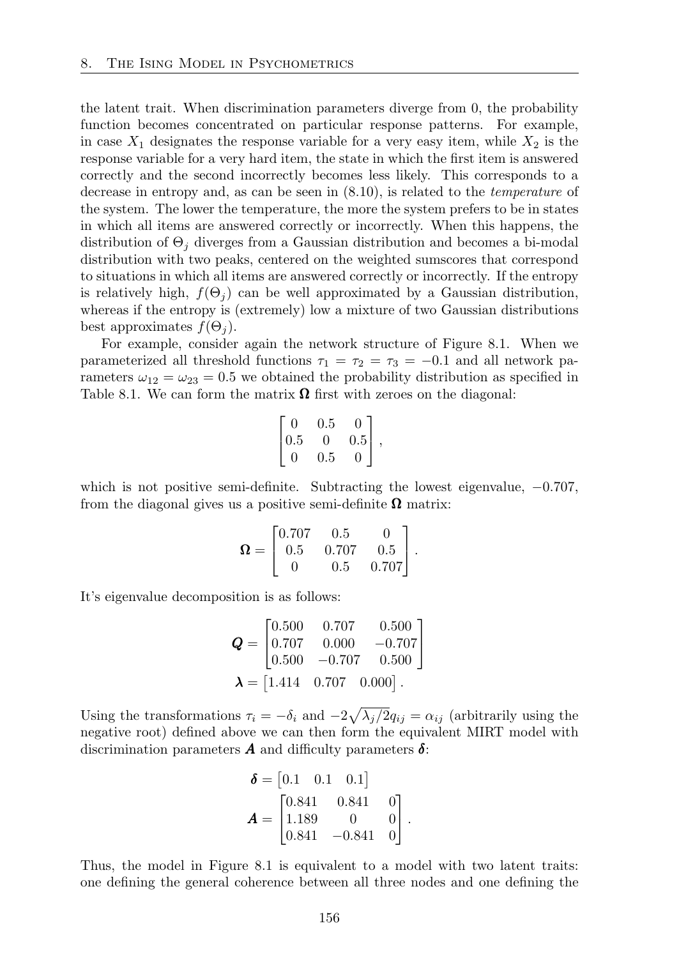the latent trait. When discrimination parameters diverge from 0, the probability function becomes concentrated on particular response patterns. For example, in case  $X_1$  designates the response variable for a very easy item, while  $X_2$  is the response variable for a very hard item, the state in which the first item is answered correctly and the second incorrectly becomes less likely. This corresponds to a decrease in entropy and, as can be seen in (8.10), is related to the *temperature* of the system. The lower the temperature, the more the system prefers to be in states in which all items are answered correctly or incorrectly. When this happens, the distribution of  $\Theta_i$  diverges from a Gaussian distribution and becomes a bi-modal distribution with two peaks, centered on the weighted sumscores that correspond to situations in which all items are answered correctly or incorrectly. If the entropy is relatively high,  $f(\Theta_i)$  can be well approximated by a Gaussian distribution, whereas if the entropy is (extremely) low a mixture of two Gaussian distributions best approximates  $f(\Theta_i)$ .

For example, consider again the network structure of Figure 8.1. When we parameterized all threshold functions  $\tau_1 = \tau_2 = \tau_3 = -0.1$  and all network parameters  $\omega_{12} = \omega_{23} = 0.5$  we obtained the probability distribution as specified in Table 8.1. We can form the matrix  $\Omega$  first with zeroes on the diagonal:

$$
\begin{bmatrix} 0 & 0.5 & 0 \\ 0.5 & 0 & 0.5 \\ 0 & 0.5 & 0 \end{bmatrix},
$$

which is not positive semi-definite. Subtracting the lowest eigenvalue, *−*0*.*707, from the diagonal gives us a positive semi-definite  $\Omega$  matrix:

$$
\mathbf{\Omega} = \begin{bmatrix} 0.707 & 0.5 & 0 \\ 0.5 & 0.707 & 0.5 \\ 0 & 0.5 & 0.707 \end{bmatrix}.
$$

It's eigenvalue decomposition is as follows:

$$
Q = \begin{bmatrix} 0.500 & 0.707 & 0.500 \\ 0.707 & 0.000 & -0.707 \\ 0.500 & -0.707 & 0.500 \end{bmatrix}
$$

$$
\lambda = \begin{bmatrix} 1.414 & 0.707 & 0.000 \end{bmatrix}.
$$

Using the transformations  $\tau_i = -\delta_i$  and  $-2\sqrt{\lambda_j/2}q_{ij} = \alpha_{ij}$  (arbitrarily using the negative root) defined above we can then form the equivalent MIRT model with discrimination parameters *A* and difficulty parameters *δ*:

$$
\mathbf{\delta} = \begin{bmatrix} 0.1 & 0.1 & 0.1 \end{bmatrix}
$$

$$
\mathbf{A} = \begin{bmatrix} 0.841 & 0.841 & 0 \\ 1.189 & 0 & 0 \\ 0.841 & -0.841 & 0 \end{bmatrix}.
$$

Thus, the model in Figure 8.1 is equivalent to a model with two latent traits: one defining the general coherence between all three nodes and one defining the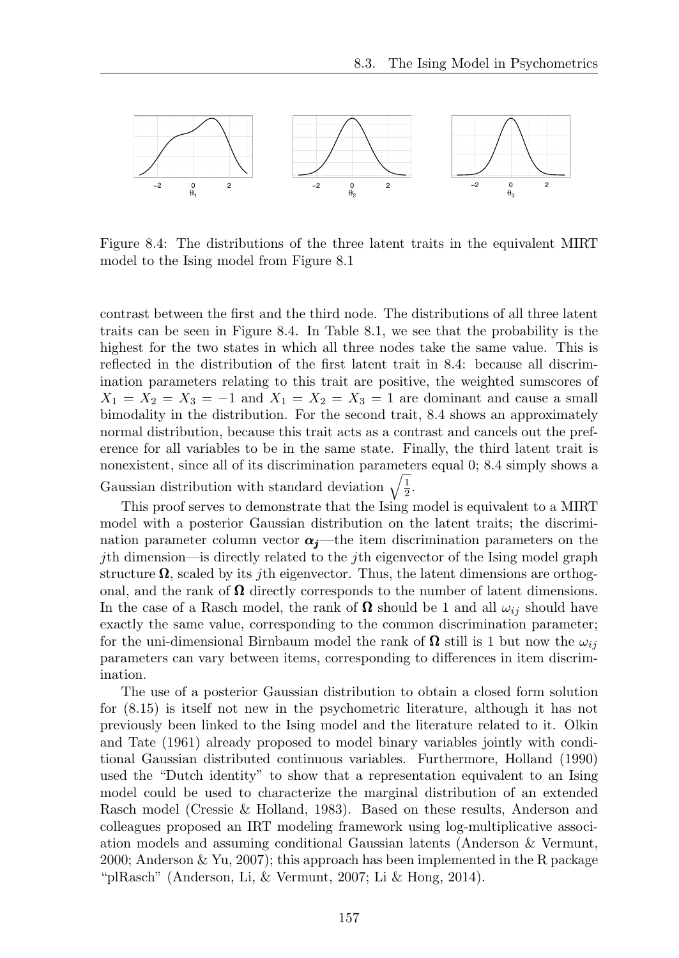

Figure 8.4: The distributions of the three latent traits in the equivalent MIRT model to the Ising model from Figure 8.1

contrast between the first and the third node. The distributions of all three latent traits can be seen in Figure 8.4. In Table 8.1, we see that the probability is the highest for the two states in which all three nodes take the same value. This is reflected in the distribution of the first latent trait in 8.4: because all discrimination parameters relating to this trait are positive, the weighted sumscores of  $X_1 = X_2 = X_3 = -1$  and  $X_1 = X_2 = X_3 = 1$  are dominant and cause a small bimodality in the distribution. For the second trait, 8.4 shows an approximately normal distribution, because this trait acts as a contrast and cancels out the preference for all variables to be in the same state. Finally, the third latent trait is nonexistent, since all of its discrimination parameters equal 0; 8.4 simply shows a Gaussian distribution with standard deviation  $\sqrt{\frac{1}{2}}$ .

This proof serves to demonstrate that the Ising model is equivalent to a MIRT model with a posterior Gaussian distribution on the latent traits; the discrimination parameter column vector  $\alpha_j$ —the item discrimination parameters on the *j*th dimension—is directly related to the *j*th eigenvector of the Ising model graph structure  $\Omega$ , scaled by its *j*th eigenvector. Thus, the latent dimensions are orthogonal, and the rank of  $\Omega$  directly corresponds to the number of latent dimensions. In the case of a Rasch model, the rank of  $\Omega$  should be 1 and all  $\omega_{ij}$  should have exactly the same value, corresponding to the common discrimination parameter; for the uni-dimensional Birnbaum model the rank of  $\Omega$  still is 1 but now the  $\omega_{ij}$ parameters can vary between items, corresponding to differences in item discrimination.

The use of a posterior Gaussian distribution to obtain a closed form solution for (8.15) is itself not new in the psychometric literature, although it has not previously been linked to the Ising model and the literature related to it. Olkin and Tate (1961) already proposed to model binary variables jointly with conditional Gaussian distributed continuous variables. Furthermore, Holland (1990) used the "Dutch identity" to show that a representation equivalent to an Ising model could be used to characterize the marginal distribution of an extended Rasch model (Cressie & Holland, 1983). Based on these results, Anderson and colleagues proposed an IRT modeling framework using log-multiplicative association models and assuming conditional Gaussian latents (Anderson & Vermunt, 2000; Anderson & Yu, 2007); this approach has been implemented in the R package "plRasch" (Anderson, Li, & Vermunt, 2007; Li & Hong, 2014).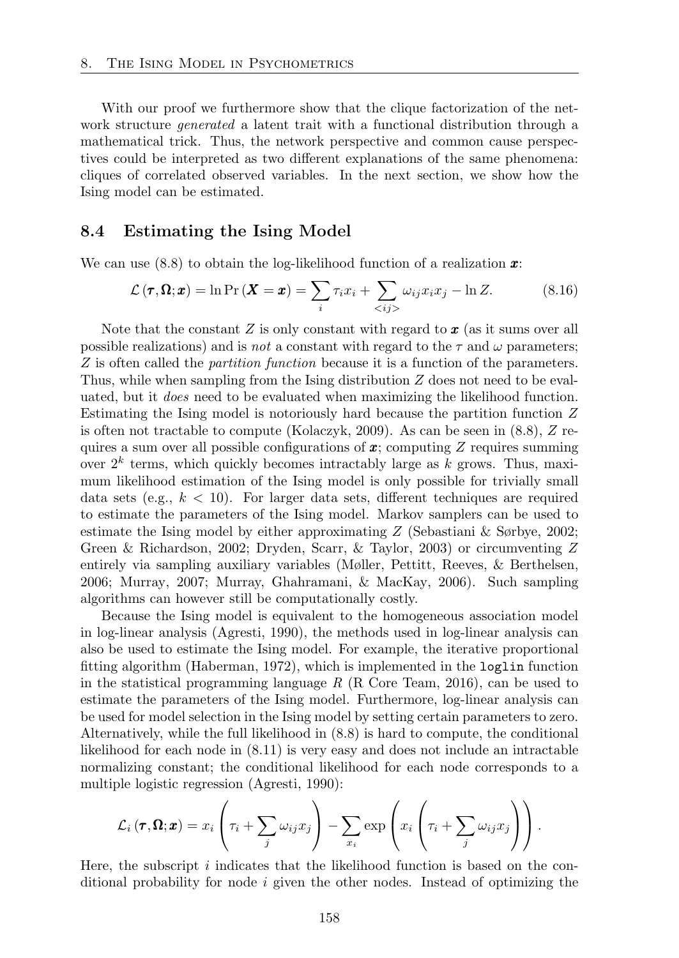With our proof we furthermore show that the clique factorization of the network structure *generated* a latent trait with a functional distribution through a mathematical trick. Thus, the network perspective and common cause perspectives could be interpreted as two different explanations of the same phenomena: cliques of correlated observed variables. In the next section, we show how the Ising model can be estimated.

#### 8.4 Estimating the Ising Model

We can use (8.8) to obtain the log-likelihood function of a realization *x*:

$$
\mathcal{L}(\tau, \Omega; \mathbf{x}) = \ln \Pr\left(\mathbf{X} = \mathbf{x}\right) = \sum_{i} \tau_i x_i + \sum_{\langle ij \rangle} \omega_{ij} x_i x_j - \ln Z. \tag{8.16}
$$

Note that the constant *Z* is only constant with regard to *x* (as it sums over all possible realizations) and is *not* a constant with regard to the  $\tau$  and  $\omega$  parameters; *Z* is often called the *partition function* because it is a function of the parameters. Thus, while when sampling from the Ising distribution *Z* does not need to be evaluated, but it *does* need to be evaluated when maximizing the likelihood function. Estimating the Ising model is notoriously hard because the partition function *Z* is often not tractable to compute (Kolaczyk, 2009). As can be seen in (8.8), *Z* requires a sum over all possible configurations of *x*; computing *Z* requires summing over  $2^k$  terms, which quickly becomes intractably large as  $k$  grows. Thus, maximum likelihood estimation of the Ising model is only possible for trivially small data sets (e.g.,  $k < 10$ ). For larger data sets, different techniques are required to estimate the parameters of the Ising model. Markov samplers can be used to estimate the Ising model by either approximating *Z* (Sebastiani & Sørbye, 2002; Green & Richardson, 2002; Dryden, Scarr, & Taylor, 2003) or circumventing *Z* entirely via sampling auxiliary variables (Møller, Pettitt, Reeves, & Berthelsen, 2006; Murray, 2007; Murray, Ghahramani, & MacKay, 2006). Such sampling algorithms can however still be computationally costly.

Because the Ising model is equivalent to the homogeneous association model in log-linear analysis (Agresti, 1990), the methods used in log-linear analysis can also be used to estimate the Ising model. For example, the iterative proportional fitting algorithm (Haberman, 1972), which is implemented in the loglin function in the statistical programming language *R* (R Core Team, 2016), can be used to estimate the parameters of the Ising model. Furthermore, log-linear analysis can be used for model selection in the Ising model by setting certain parameters to zero. Alternatively, while the full likelihood in (8.8) is hard to compute, the conditional likelihood for each node in (8.11) is very easy and does not include an intractable normalizing constant; the conditional likelihood for each node corresponds to a multiple logistic regression (Agresti, 1990):

$$
\mathcal{L}_i(\boldsymbol{\tau},\boldsymbol{\Omega};\boldsymbol{x})=x_i\left(\tau_i+\sum_j\omega_{ij}x_j\right)-\sum_{x_i}\exp\left(x_i\left(\tau_i+\sum_j\omega_{ij}x_j\right)\right).
$$

Here, the subscript *i* indicates that the likelihood function is based on the conditional probability for node *i* given the other nodes. Instead of optimizing the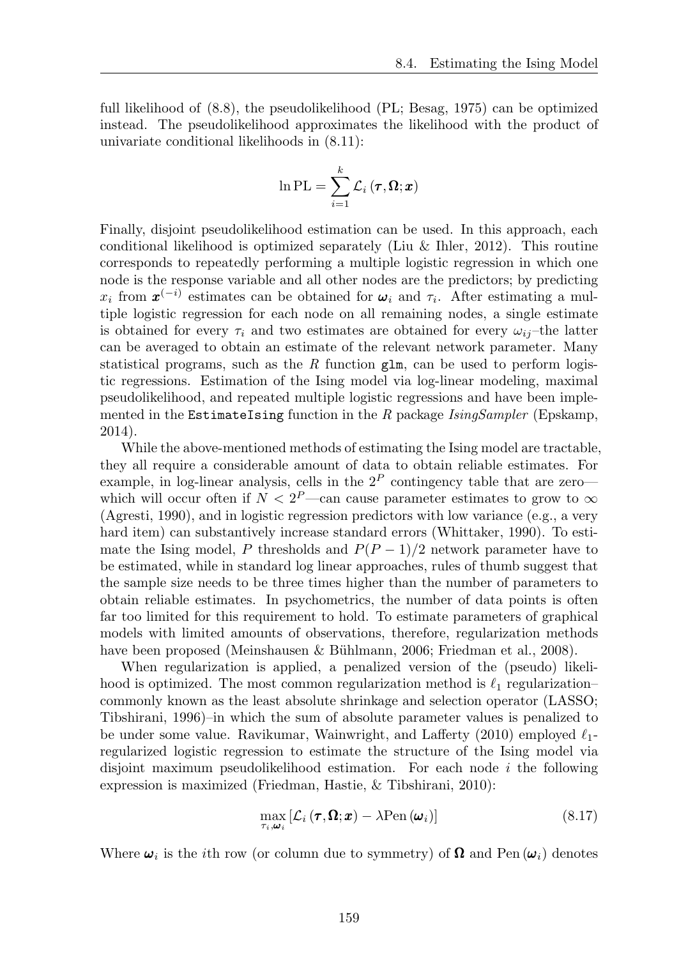full likelihood of (8.8), the pseudolikelihood (PL; Besag, 1975) can be optimized instead. The pseudolikelihood approximates the likelihood with the product of univariate conditional likelihoods in (8.11):

$$
\ln \mathrm{PL} = \sum_{i=1}^k \mathcal{L}_i \left( \boldsymbol{\tau}, \boldsymbol{\Omega} ; \boldsymbol{x} \right)
$$

Finally, disjoint pseudolikelihood estimation can be used. In this approach, each conditional likelihood is optimized separately (Liu & Ihler, 2012). This routine corresponds to repeatedly performing a multiple logistic regression in which one node is the response variable and all other nodes are the predictors; by predicting *x<sub>i</sub>* from  $x^{(-i)}$  estimates can be obtained for  $\omega_i$  and  $\tau_i$ . After estimating a multiple logistic regression for each node on all remaining nodes, a single estimate is obtained for every  $\tau_i$  and two estimates are obtained for every  $\omega_{ij}$ –the latter can be averaged to obtain an estimate of the relevant network parameter. Many statistical programs, such as the *R* function glm, can be used to perform logistic regressions. Estimation of the Ising model via log-linear modeling, maximal pseudolikelihood, and repeated multiple logistic regressions and have been implemented in the EstimateIsing function in the *R* package *IsingSampler* (Epskamp, 2014).

While the above-mentioned methods of estimating the Ising model are tractable, they all require a considerable amount of data to obtain reliable estimates. For example, in log-linear analysis, cells in the  $2^P$  contingency table that are zero which will occur often if  $N < 2<sup>P</sup>$ —can cause parameter estimates to grow to  $\infty$ (Agresti, 1990), and in logistic regression predictors with low variance (e.g., a very hard item) can substantively increase standard errors (Whittaker, 1990). To estimate the Ising model, *P* thresholds and  $P(P-1)/2$  network parameter have to be estimated, while in standard log linear approaches, rules of thumb suggest that the sample size needs to be three times higher than the number of parameters to obtain reliable estimates. In psychometrics, the number of data points is often far too limited for this requirement to hold. To estimate parameters of graphical models with limited amounts of observations, therefore, regularization methods have been proposed (Meinshausen & Bühlmann, 2006; Friedman et al., 2008).

When regularization is applied, a penalized version of the (pseudo) likelihood is optimized. The most common regularization method is  $\ell_1$  regularization– commonly known as the least absolute shrinkage and selection operator (LASSO; Tibshirani, 1996)–in which the sum of absolute parameter values is penalized to be under some value. Ravikumar, Wainwright, and Lafferty (2010) employed  $\ell_1$ regularized logistic regression to estimate the structure of the Ising model via disjoint maximum pseudolikelihood estimation. For each node *i* the following expression is maximized (Friedman, Hastie, & Tibshirani, 2010):

$$
\max_{\tau_i, \omega_i} \left[ \mathcal{L}_i \left( \boldsymbol{\tau}, \boldsymbol{\Omega}; \boldsymbol{x} \right) - \lambda \text{Pen} \left( \boldsymbol{\omega}_i \right) \right] \tag{8.17}
$$

Where  $\omega_i$  is the *i*th row (or column due to symmetry) of  $\Omega$  and Pen  $(\omega_i)$  denotes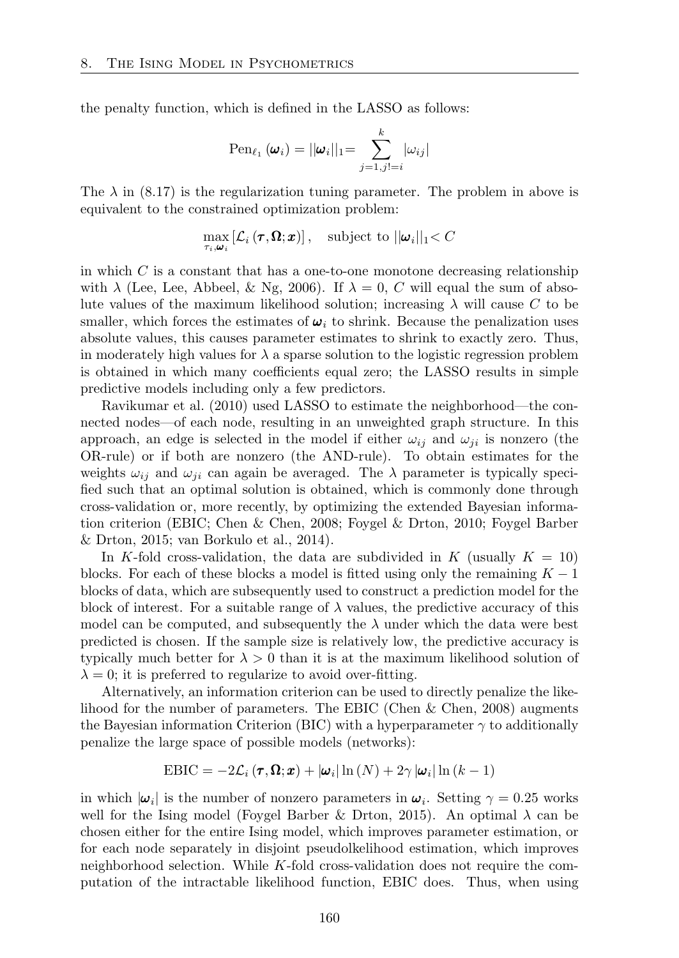the penalty function, which is defined in the LASSO as follows:

$$
\text{Pen}_{\ell_1}(\boldsymbol{\omega}_i) = ||\boldsymbol{\omega}_i||_1 = \sum_{j=1,j=l}^k |\omega_{ij}|
$$

The  $\lambda$  in (8.17) is the regularization tuning parameter. The problem in above is equivalent to the constrained optimization problem:

$$
\max_{\tau_i, \boldsymbol{\omega}_i} \left[ \mathcal{L}_i \left( \boldsymbol{\tau}, \boldsymbol{\Omega}; \boldsymbol{x} \right) \right], \quad \text{subject to } ||\boldsymbol{\omega}_i||_1 < C
$$

in which *C* is a constant that has a one-to-one monotone decreasing relationship with  $\lambda$  (Lee, Lee, Abbeel, & Ng, 2006). If  $\lambda = 0$ , C will equal the sum of absolute values of the maximum likelihood solution; increasing  $\lambda$  will cause  $C$  to be smaller, which forces the estimates of  $\omega_i$  to shrink. Because the penalization uses absolute values, this causes parameter estimates to shrink to exactly zero. Thus, in moderately high values for  $\lambda$  a sparse solution to the logistic regression problem is obtained in which many coefficients equal zero; the LASSO results in simple predictive models including only a few predictors.

Ravikumar et al. (2010) used LASSO to estimate the neighborhood—the connected nodes—of each node, resulting in an unweighted graph structure. In this approach, an edge is selected in the model if either  $\omega_{ij}$  and  $\omega_{ji}$  is nonzero (the OR-rule) or if both are nonzero (the AND-rule). To obtain estimates for the weights  $\omega_{ij}$  and  $\omega_{ji}$  can again be averaged. The  $\lambda$  parameter is typically specified such that an optimal solution is obtained, which is commonly done through cross-validation or, more recently, by optimizing the extended Bayesian information criterion (EBIC; Chen & Chen, 2008; Foygel & Drton, 2010; Foygel Barber & Drton, 2015; van Borkulo et al., 2014).

In *K*-fold cross-validation, the data are subdivided in *K* (usually  $K = 10$ ) blocks. For each of these blocks a model is fitted using only the remaining  $K-1$ blocks of data, which are subsequently used to construct a prediction model for the block of interest. For a suitable range of  $\lambda$  values, the predictive accuracy of this model can be computed, and subsequently the  $\lambda$  under which the data were best predicted is chosen. If the sample size is relatively low, the predictive accuracy is typically much better for  $\lambda > 0$  than it is at the maximum likelihood solution of  $\lambda = 0$ ; it is preferred to regularize to avoid over-fitting.

Alternatively, an information criterion can be used to directly penalize the likelihood for the number of parameters. The EBIC (Chen & Chen, 2008) augments the Bayesian information Criterion (BIC) with a hyperparameter *γ* to additionally penalize the large space of possible models (networks):

$$
EBIC = -2\mathcal{L}_i(\boldsymbol{\tau}, \boldsymbol{\Omega}; \boldsymbol{x}) + |\boldsymbol{\omega}_i| \ln(N) + 2\gamma |\boldsymbol{\omega}_i| \ln(k-1)
$$

in which  $|\omega_i|$  is the number of nonzero parameters in  $\omega_i$ . Setting  $\gamma = 0.25$  works well for the Ising model (Foygel Barber & Drton, 2015). An optimal *λ* can be chosen either for the entire Ising model, which improves parameter estimation, or for each node separately in disjoint pseudolkelihood estimation, which improves neighborhood selection. While *K*-fold cross-validation does not require the computation of the intractable likelihood function, EBIC does. Thus, when using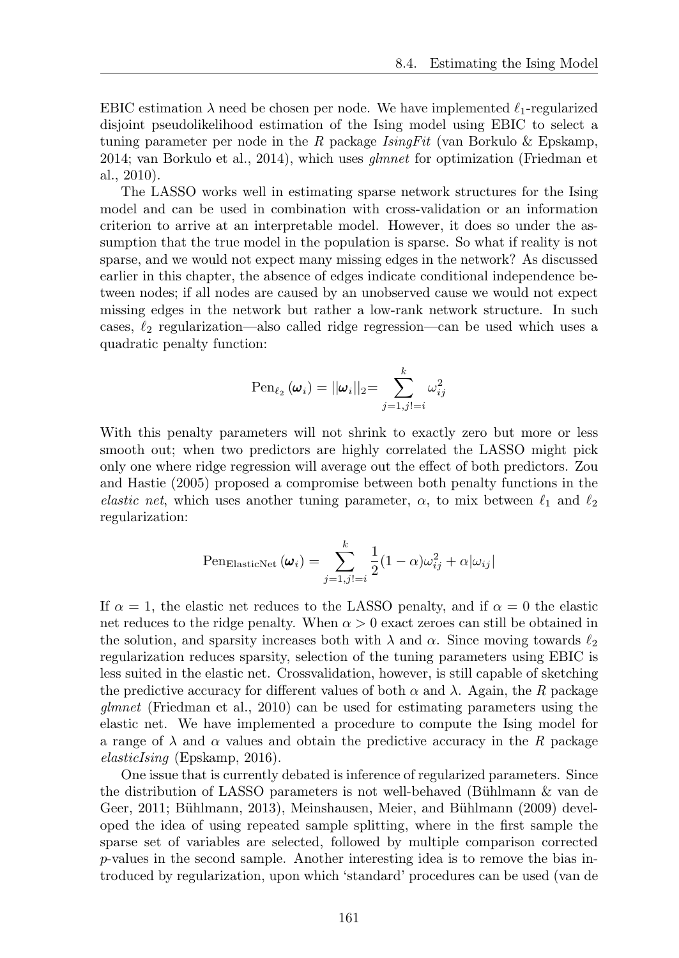EBIC estimation  $\lambda$  need be chosen per node. We have implemented  $\ell_1$ -regularized disjoint pseudolikelihood estimation of the Ising model using EBIC to select a tuning parameter per node in the *R* package *IsingFit* (van Borkulo & Epskamp, 2014; van Borkulo et al., 2014), which uses *glmnet* for optimization (Friedman et al., 2010).

The LASSO works well in estimating sparse network structures for the Ising model and can be used in combination with cross-validation or an information criterion to arrive at an interpretable model. However, it does so under the assumption that the true model in the population is sparse. So what if reality is not sparse, and we would not expect many missing edges in the network? As discussed earlier in this chapter, the absence of edges indicate conditional independence between nodes; if all nodes are caused by an unobserved cause we would not expect missing edges in the network but rather a low-rank network structure. In such cases,  $\ell_2$  regularization—also called ridge regression—can be used which uses a quadratic penalty function:

$$
\text{Pen}_{\ell_2}(\boldsymbol{\omega}_i) = ||\boldsymbol{\omega}_i||_2 = \sum_{j=1,j=l}^k \omega_{ij}^2
$$

With this penalty parameters will not shrink to exactly zero but more or less smooth out; when two predictors are highly correlated the LASSO might pick only one where ridge regression will average out the effect of both predictors. Zou and Hastie (2005) proposed a compromise between both penalty functions in the *elastic net*, which uses another tuning parameter,  $\alpha$ , to mix between  $\ell_1$  and  $\ell_2$ regularization:

$$
\text{Pen}_{\text{ElasticNet}}\left(\pmb{\omega}_{i}\right) = \sum_{j=1,j!=i}^{k} \frac{1}{2}(1-\alpha)\omega_{ij}^{2} + \alpha|\omega_{ij}|
$$

If  $\alpha = 1$ , the elastic net reduces to the LASSO penalty, and if  $\alpha = 0$  the elastic net reduces to the ridge penalty. When  $\alpha > 0$  exact zeroes can still be obtained in the solution, and sparsity increases both with  $\lambda$  and  $\alpha$ . Since moving towards  $\ell_2$ regularization reduces sparsity, selection of the tuning parameters using EBIC is less suited in the elastic net. Crossvalidation, however, is still capable of sketching the predictive accuracy for different values of both  $\alpha$  and  $\lambda$ . Again, the *R* package *glmnet* (Friedman et al., 2010) can be used for estimating parameters using the elastic net. We have implemented a procedure to compute the Ising model for a range of  $\lambda$  and  $\alpha$  values and obtain the predictive accuracy in the R package *elasticIsing* (Epskamp, 2016).

One issue that is currently debated is inference of regularized parameters. Since the distribution of LASSO parameters is not well-behaved (Bühlmann  $\&$  van de Geer, 2011; Bühlmann, 2013), Meinshausen, Meier, and Bühlmann (2009) developed the idea of using repeated sample splitting, where in the first sample the sparse set of variables are selected, followed by multiple comparison corrected *p*-values in the second sample. Another interesting idea is to remove the bias introduced by regularization, upon which 'standard' procedures can be used (van de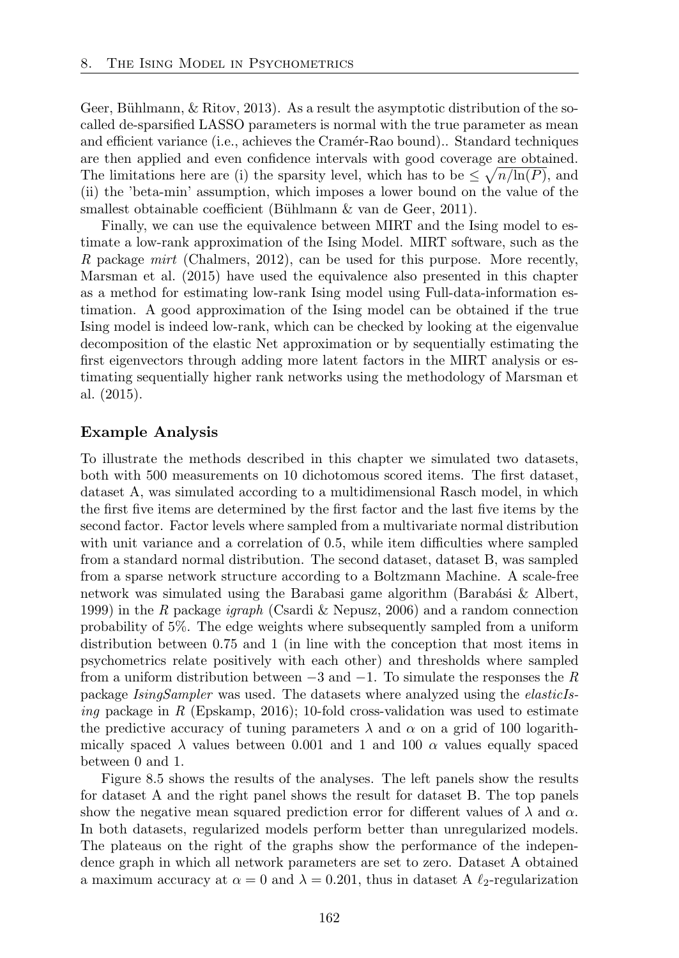Geer, Bühlmann,  $&$  Ritov, 2013). As a result the asymptotic distribution of the socalled de-sparsified LASSO parameters is normal with the true parameter as mean and efficient variance (i.e., achieves the Cramér-Rao bound).. Standard techniques are then applied and even confidence intervals with good coverage are obtained. The limitations here are (i) the sparsity level, which has to be  $\leq \sqrt{n/\ln(P)}$ , and (ii) the 'beta-min' assumption, which imposes a lower bound on the value of the smallest obtainable coefficient (Bühlmann  $\&$  van de Geer, 2011).

Finally, we can use the equivalence between MIRT and the Ising model to estimate a low-rank approximation of the Ising Model. MIRT software, such as the *R* package *mirt* (Chalmers, 2012), can be used for this purpose. More recently, Marsman et al. (2015) have used the equivalence also presented in this chapter as a method for estimating low-rank Ising model using Full-data-information estimation. A good approximation of the Ising model can be obtained if the true Ising model is indeed low-rank, which can be checked by looking at the eigenvalue decomposition of the elastic Net approximation or by sequentially estimating the first eigenvectors through adding more latent factors in the MIRT analysis or estimating sequentially higher rank networks using the methodology of Marsman et al. (2015).

#### Example Analysis

To illustrate the methods described in this chapter we simulated two datasets, both with 500 measurements on 10 dichotomous scored items. The first dataset, dataset A, was simulated according to a multidimensional Rasch model, in which the first five items are determined by the first factor and the last five items by the second factor. Factor levels where sampled from a multivariate normal distribution with unit variance and a correlation of 0*.*5, while item difficulties where sampled from a standard normal distribution. The second dataset, dataset B, was sampled from a sparse network structure according to a Boltzmann Machine. A scale-free network was simulated using the Barabasi game algorithm (Barabási  $\&$  Albert, 1999) in the *R* package *igraph* (Csardi & Nepusz, 2006) and a random connection probability of 5%. The edge weights where subsequently sampled from a uniform distribution between 0*.*75 and 1 (in line with the conception that most items in psychometrics relate positively with each other) and thresholds where sampled from a uniform distribution between *−*3 and *−*1. To simulate the responses the *R* package *IsingSampler* was used. The datasets where analyzed using the *elasticIsing* package in *R* (Epskamp, 2016); 10-fold cross-validation was used to estimate the predictive accuracy of tuning parameters  $\lambda$  and  $\alpha$  on a grid of 100 logarithmically spaced  $\lambda$  values between 0.001 and 1 and 100  $\alpha$  values equally spaced between 0 and 1.

Figure 8.5 shows the results of the analyses. The left panels show the results for dataset A and the right panel shows the result for dataset B. The top panels show the negative mean squared prediction error for different values of  $\lambda$  and  $\alpha$ . In both datasets, regularized models perform better than unregularized models. The plateaus on the right of the graphs show the performance of the independence graph in which all network parameters are set to zero. Dataset A obtained a maximum accuracy at  $\alpha = 0$  and  $\lambda = 0.201$ , thus in dataset A  $\ell_2$ -regularization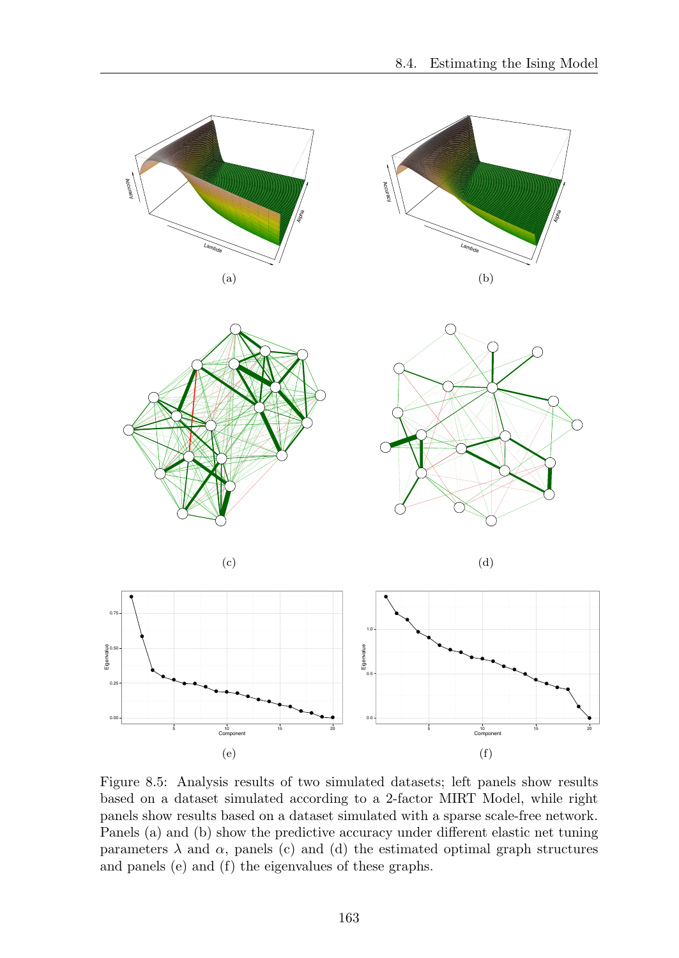

Figure 8.5: Analysis results of two simulated datasets; left panels show results based on a dataset simulated according to a 2-factor MIRT Model, while right panels show results based on a dataset simulated with a sparse scale-free network. Panels (a) and (b) show the predictive accuracy under different elastic net tuning parameters  $\lambda$  and  $\alpha$ , panels (c) and (d) the estimated optimal graph structures and panels (e) and (f) the eigenvalues of these graphs.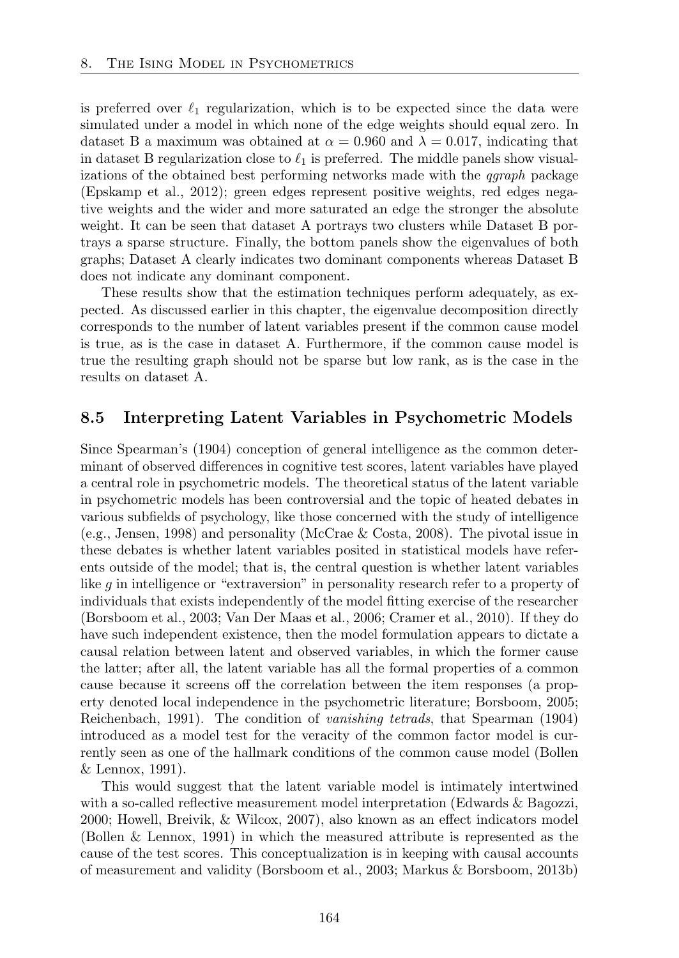is preferred over  $\ell_1$  regularization, which is to be expected since the data were simulated under a model in which none of the edge weights should equal zero. In dataset B a maximum was obtained at  $\alpha = 0.960$  and  $\lambda = 0.017$ , indicating that in dataset B regularization close to  $\ell_1$  is preferred. The middle panels show visualizations of the obtained best performing networks made with the *qgraph* package (Epskamp et al., 2012); green edges represent positive weights, red edges negative weights and the wider and more saturated an edge the stronger the absolute weight. It can be seen that dataset A portrays two clusters while Dataset B portrays a sparse structure. Finally, the bottom panels show the eigenvalues of both graphs; Dataset A clearly indicates two dominant components whereas Dataset B does not indicate any dominant component.

These results show that the estimation techniques perform adequately, as expected. As discussed earlier in this chapter, the eigenvalue decomposition directly corresponds to the number of latent variables present if the common cause model is true, as is the case in dataset A. Furthermore, if the common cause model is true the resulting graph should not be sparse but low rank, as is the case in the results on dataset A.

#### 8.5 Interpreting Latent Variables in Psychometric Models

Since Spearman's (1904) conception of general intelligence as the common determinant of observed differences in cognitive test scores, latent variables have played a central role in psychometric models. The theoretical status of the latent variable in psychometric models has been controversial and the topic of heated debates in various subfields of psychology, like those concerned with the study of intelligence (e.g., Jensen, 1998) and personality (McCrae & Costa, 2008). The pivotal issue in these debates is whether latent variables posited in statistical models have referents outside of the model; that is, the central question is whether latent variables like *g* in intelligence or "extraversion" in personality research refer to a property of individuals that exists independently of the model fitting exercise of the researcher (Borsboom et al., 2003; Van Der Maas et al., 2006; Cramer et al., 2010). If they do have such independent existence, then the model formulation appears to dictate a causal relation between latent and observed variables, in which the former cause the latter; after all, the latent variable has all the formal properties of a common cause because it screens off the correlation between the item responses (a property denoted local independence in the psychometric literature; Borsboom, 2005; Reichenbach, 1991). The condition of *vanishing tetrads*, that Spearman (1904) introduced as a model test for the veracity of the common factor model is currently seen as one of the hallmark conditions of the common cause model (Bollen & Lennox, 1991).

This would suggest that the latent variable model is intimately intertwined with a so-called reflective measurement model interpretation (Edwards & Bagozzi,  $2000$ ; Howell, Breivik,  $\&$  Wilcox,  $2007$ ), also known as an effect indicators model (Bollen & Lennox, 1991) in which the measured attribute is represented as the cause of the test scores. This conceptualization is in keeping with causal accounts of measurement and validity (Borsboom et al., 2003; Markus & Borsboom, 2013b)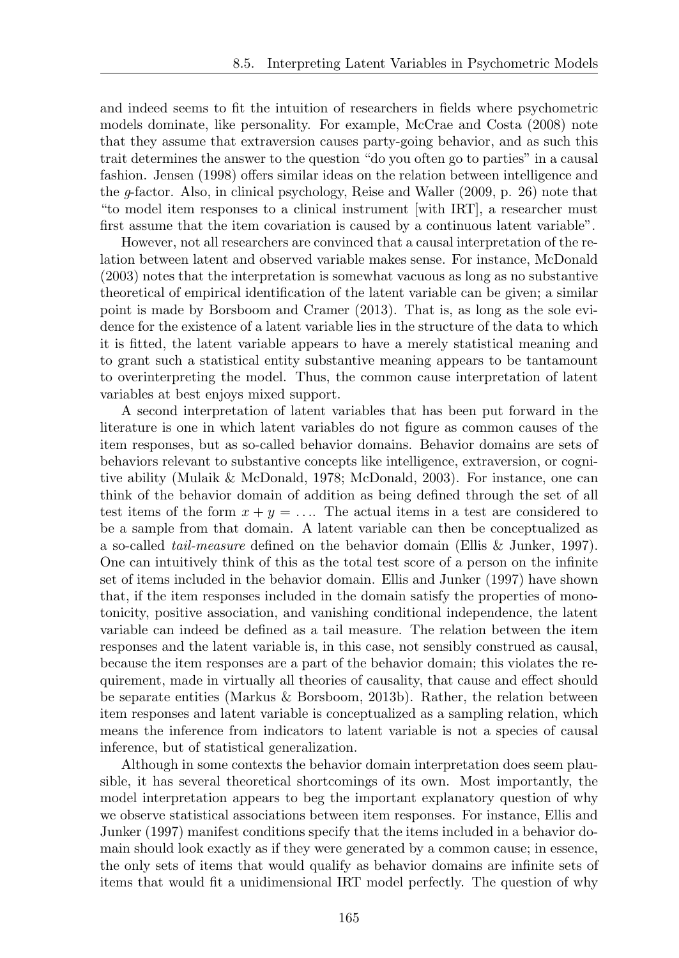and indeed seems to fit the intuition of researchers in fields where psychometric models dominate, like personality. For example, McCrae and Costa (2008) note that they assume that extraversion causes party-going behavior, and as such this trait determines the answer to the question "do you often go to parties" in a causal fashion. Jensen (1998) offers similar ideas on the relation between intelligence and the *g*-factor. Also, in clinical psychology, Reise and Waller (2009, p. 26) note that "to model item responses to a clinical instrument [with IRT], a researcher must first assume that the item covariation is caused by a continuous latent variable".

However, not all researchers are convinced that a causal interpretation of the relation between latent and observed variable makes sense. For instance, McDonald (2003) notes that the interpretation is somewhat vacuous as long as no substantive theoretical of empirical identification of the latent variable can be given; a similar point is made by Borsboom and Cramer (2013). That is, as long as the sole evidence for the existence of a latent variable lies in the structure of the data to which it is fitted, the latent variable appears to have a merely statistical meaning and to grant such a statistical entity substantive meaning appears to be tantamount to overinterpreting the model. Thus, the common cause interpretation of latent variables at best enjoys mixed support.

A second interpretation of latent variables that has been put forward in the literature is one in which latent variables do not figure as common causes of the item responses, but as so-called behavior domains. Behavior domains are sets of behaviors relevant to substantive concepts like intelligence, extraversion, or cognitive ability (Mulaik & McDonald, 1978; McDonald, 2003). For instance, one can think of the behavior domain of addition as being defined through the set of all test items of the form  $x + y = \ldots$  The actual items in a test are considered to be a sample from that domain. A latent variable can then be conceptualized as a so-called *tail-measure* defined on the behavior domain (Ellis & Junker, 1997). One can intuitively think of this as the total test score of a person on the infinite set of items included in the behavior domain. Ellis and Junker (1997) have shown that, if the item responses included in the domain satisfy the properties of monotonicity, positive association, and vanishing conditional independence, the latent variable can indeed be defined as a tail measure. The relation between the item responses and the latent variable is, in this case, not sensibly construed as causal, because the item responses are a part of the behavior domain; this violates the requirement, made in virtually all theories of causality, that cause and effect should be separate entities (Markus & Borsboom, 2013b). Rather, the relation between item responses and latent variable is conceptualized as a sampling relation, which means the inference from indicators to latent variable is not a species of causal inference, but of statistical generalization.

Although in some contexts the behavior domain interpretation does seem plausible, it has several theoretical shortcomings of its own. Most importantly, the model interpretation appears to beg the important explanatory question of why we observe statistical associations between item responses. For instance, Ellis and Junker (1997) manifest conditions specify that the items included in a behavior domain should look exactly as if they were generated by a common cause; in essence, the only sets of items that would qualify as behavior domains are infinite sets of items that would fit a unidimensional IRT model perfectly. The question of why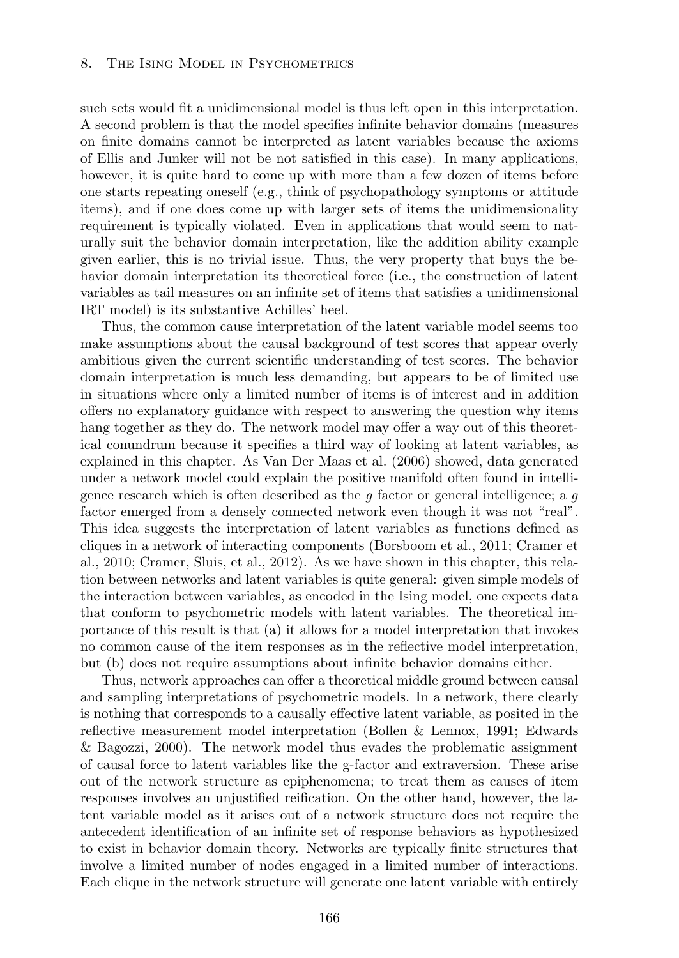such sets would fit a unidimensional model is thus left open in this interpretation. A second problem is that the model specifies infinite behavior domains (measures on finite domains cannot be interpreted as latent variables because the axioms of Ellis and Junker will not be not satisfied in this case). In many applications, however, it is quite hard to come up with more than a few dozen of items before one starts repeating oneself (e.g., think of psychopathology symptoms or attitude items), and if one does come up with larger sets of items the unidimensionality requirement is typically violated. Even in applications that would seem to naturally suit the behavior domain interpretation, like the addition ability example given earlier, this is no trivial issue. Thus, the very property that buys the behavior domain interpretation its theoretical force (i.e., the construction of latent variables as tail measures on an infinite set of items that satisfies a unidimensional IRT model) is its substantive Achilles' heel.

Thus, the common cause interpretation of the latent variable model seems too make assumptions about the causal background of test scores that appear overly ambitious given the current scientific understanding of test scores. The behavior domain interpretation is much less demanding, but appears to be of limited use in situations where only a limited number of items is of interest and in addition offers no explanatory guidance with respect to answering the question why items hang together as they do. The network model may offer a way out of this theoretical conundrum because it specifies a third way of looking at latent variables, as explained in this chapter. As Van Der Maas et al. (2006) showed, data generated under a network model could explain the positive manifold often found in intelligence research which is often described as the *g* factor or general intelligence; a *g* factor emerged from a densely connected network even though it was not "real". This idea suggests the interpretation of latent variables as functions defined as cliques in a network of interacting components (Borsboom et al., 2011; Cramer et al., 2010; Cramer, Sluis, et al., 2012). As we have shown in this chapter, this relation between networks and latent variables is quite general: given simple models of the interaction between variables, as encoded in the Ising model, one expects data that conform to psychometric models with latent variables. The theoretical importance of this result is that (a) it allows for a model interpretation that invokes no common cause of the item responses as in the reflective model interpretation, but (b) does not require assumptions about infinite behavior domains either.

Thus, network approaches can offer a theoretical middle ground between causal and sampling interpretations of psychometric models. In a network, there clearly is nothing that corresponds to a causally effective latent variable, as posited in the reflective measurement model interpretation (Bollen & Lennox, 1991; Edwards & Bagozzi, 2000). The network model thus evades the problematic assignment of causal force to latent variables like the g-factor and extraversion. These arise out of the network structure as epiphenomena; to treat them as causes of item responses involves an unjustified reification. On the other hand, however, the latent variable model as it arises out of a network structure does not require the antecedent identification of an infinite set of response behaviors as hypothesized to exist in behavior domain theory. Networks are typically finite structures that involve a limited number of nodes engaged in a limited number of interactions. Each clique in the network structure will generate one latent variable with entirely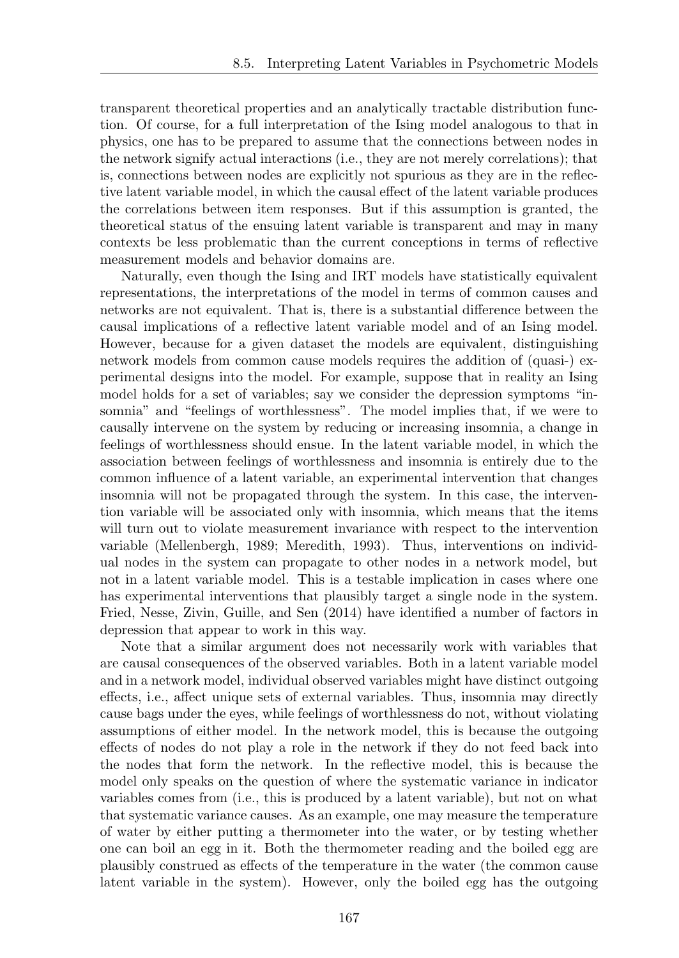transparent theoretical properties and an analytically tractable distribution function. Of course, for a full interpretation of the Ising model analogous to that in physics, one has to be prepared to assume that the connections between nodes in the network signify actual interactions (i.e., they are not merely correlations); that is, connections between nodes are explicitly not spurious as they are in the reflective latent variable model, in which the causal effect of the latent variable produces the correlations between item responses. But if this assumption is granted, the theoretical status of the ensuing latent variable is transparent and may in many contexts be less problematic than the current conceptions in terms of reflective measurement models and behavior domains are.

Naturally, even though the Ising and IRT models have statistically equivalent representations, the interpretations of the model in terms of common causes and networks are not equivalent. That is, there is a substantial difference between the causal implications of a reflective latent variable model and of an Ising model. However, because for a given dataset the models are equivalent, distinguishing network models from common cause models requires the addition of (quasi-) experimental designs into the model. For example, suppose that in reality an Ising model holds for a set of variables; say we consider the depression symptoms "insomnia" and "feelings of worthlessness". The model implies that, if we were to causally intervene on the system by reducing or increasing insomnia, a change in feelings of worthlessness should ensue. In the latent variable model, in which the association between feelings of worthlessness and insomnia is entirely due to the common influence of a latent variable, an experimental intervention that changes insomnia will not be propagated through the system. In this case, the intervention variable will be associated only with insomnia, which means that the items will turn out to violate measurement invariance with respect to the intervention variable (Mellenbergh, 1989; Meredith, 1993). Thus, interventions on individual nodes in the system can propagate to other nodes in a network model, but not in a latent variable model. This is a testable implication in cases where one has experimental interventions that plausibly target a single node in the system. Fried, Nesse, Zivin, Guille, and Sen (2014) have identified a number of factors in depression that appear to work in this way.

Note that a similar argument does not necessarily work with variables that are causal consequences of the observed variables. Both in a latent variable model and in a network model, individual observed variables might have distinct outgoing effects, i.e., affect unique sets of external variables. Thus, insomnia may directly cause bags under the eyes, while feelings of worthlessness do not, without violating assumptions of either model. In the network model, this is because the outgoing effects of nodes do not play a role in the network if they do not feed back into the nodes that form the network. In the reflective model, this is because the model only speaks on the question of where the systematic variance in indicator variables comes from (i.e., this is produced by a latent variable), but not on what that systematic variance causes. As an example, one may measure the temperature of water by either putting a thermometer into the water, or by testing whether one can boil an egg in it. Both the thermometer reading and the boiled egg are plausibly construed as effects of the temperature in the water (the common cause latent variable in the system). However, only the boiled egg has the outgoing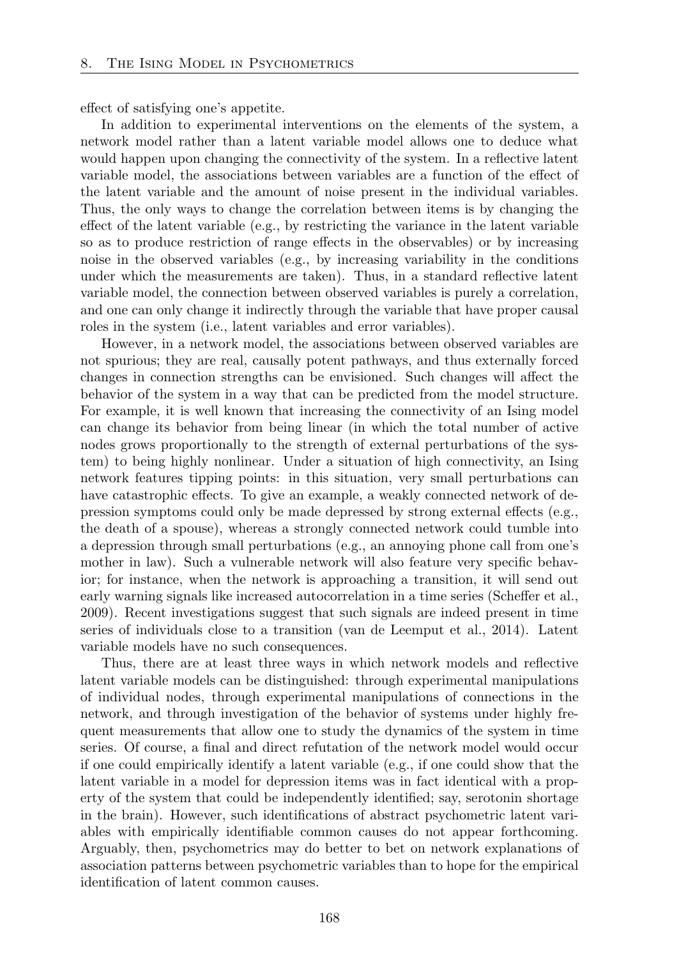effect of satisfying one's appetite.

In addition to experimental interventions on the elements of the system, a network model rather than a latent variable model allows one to deduce what would happen upon changing the connectivity of the system. In a reflective latent variable model, the associations between variables are a function of the effect of the latent variable and the amount of noise present in the individual variables. Thus, the only ways to change the correlation between items is by changing the effect of the latent variable (e.g., by restricting the variance in the latent variable so as to produce restriction of range effects in the observables) or by increasing noise in the observed variables (e.g., by increasing variability in the conditions under which the measurements are taken). Thus, in a standard reflective latent variable model, the connection between observed variables is purely a correlation, and one can only change it indirectly through the variable that have proper causal roles in the system (i.e., latent variables and error variables).

However, in a network model, the associations between observed variables are not spurious; they are real, causally potent pathways, and thus externally forced changes in connection strengths can be envisioned. Such changes will affect the behavior of the system in a way that can be predicted from the model structure. For example, it is well known that increasing the connectivity of an Ising model can change its behavior from being linear (in which the total number of active nodes grows proportionally to the strength of external perturbations of the system) to being highly nonlinear. Under a situation of high connectivity, an Ising network features tipping points: in this situation, very small perturbations can have catastrophic effects. To give an example, a weakly connected network of depression symptoms could only be made depressed by strong external effects (e.g., the death of a spouse), whereas a strongly connected network could tumble into a depression through small perturbations (e.g., an annoying phone call from one's mother in law). Such a vulnerable network will also feature very specific behavior; for instance, when the network is approaching a transition, it will send out early warning signals like increased autocorrelation in a time series (Scheffer et al., 2009). Recent investigations suggest that such signals are indeed present in time series of individuals close to a transition (van de Leemput et al., 2014). Latent variable models have no such consequences.

Thus, there are at least three ways in which network models and reflective latent variable models can be distinguished: through experimental manipulations of individual nodes, through experimental manipulations of connections in the network, and through investigation of the behavior of systems under highly frequent measurements that allow one to study the dynamics of the system in time series. Of course, a final and direct refutation of the network model would occur if one could empirically identify a latent variable (e.g., if one could show that the latent variable in a model for depression items was in fact identical with a property of the system that could be independently identified; say, serotonin shortage in the brain). However, such identifications of abstract psychometric latent variables with empirically identifiable common causes do not appear forthcoming. Arguably, then, psychometrics may do better to bet on network explanations of association patterns between psychometric variables than to hope for the empirical identification of latent common causes.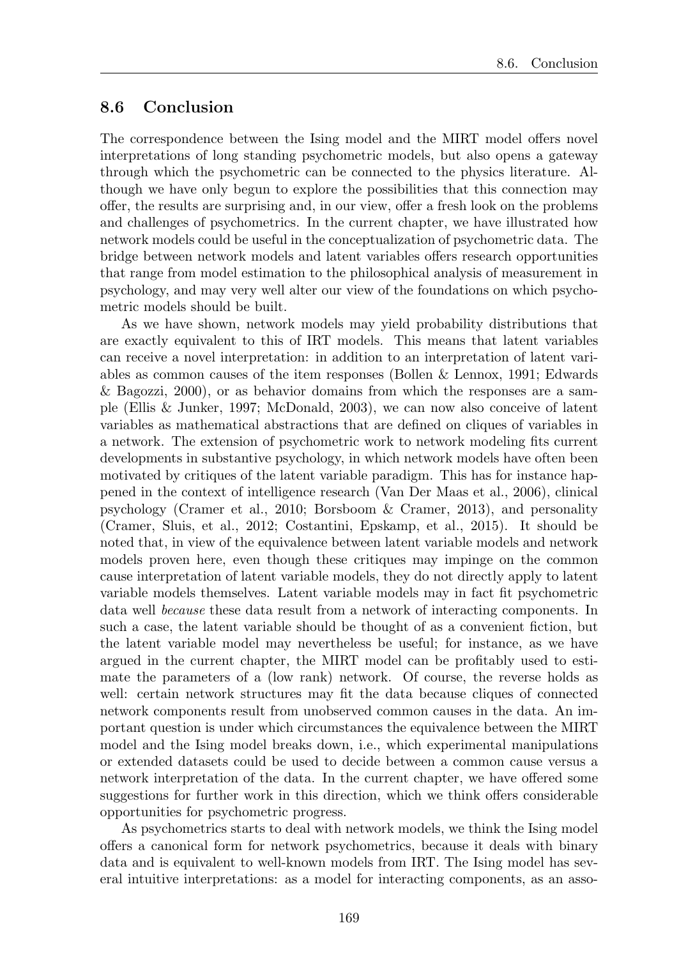## 8.6 Conclusion

The correspondence between the Ising model and the MIRT model offers novel interpretations of long standing psychometric models, but also opens a gateway through which the psychometric can be connected to the physics literature. Although we have only begun to explore the possibilities that this connection may offer, the results are surprising and, in our view, offer a fresh look on the problems and challenges of psychometrics. In the current chapter, we have illustrated how network models could be useful in the conceptualization of psychometric data. The bridge between network models and latent variables offers research opportunities that range from model estimation to the philosophical analysis of measurement in psychology, and may very well alter our view of the foundations on which psychometric models should be built.

As we have shown, network models may yield probability distributions that are exactly equivalent to this of IRT models. This means that latent variables can receive a novel interpretation: in addition to an interpretation of latent variables as common causes of the item responses (Bollen & Lennox, 1991; Edwards & Bagozzi, 2000), or as behavior domains from which the responses are a sample (Ellis & Junker, 1997; McDonald, 2003), we can now also conceive of latent variables as mathematical abstractions that are defined on cliques of variables in a network. The extension of psychometric work to network modeling fits current developments in substantive psychology, in which network models have often been motivated by critiques of the latent variable paradigm. This has for instance happened in the context of intelligence research (Van Der Maas et al., 2006), clinical psychology (Cramer et al., 2010; Borsboom & Cramer, 2013), and personality (Cramer, Sluis, et al., 2012; Costantini, Epskamp, et al., 2015). It should be noted that, in view of the equivalence between latent variable models and network models proven here, even though these critiques may impinge on the common cause interpretation of latent variable models, they do not directly apply to latent variable models themselves. Latent variable models may in fact fit psychometric data well *because* these data result from a network of interacting components. In such a case, the latent variable should be thought of as a convenient fiction, but the latent variable model may nevertheless be useful; for instance, as we have argued in the current chapter, the MIRT model can be profitably used to estimate the parameters of a (low rank) network. Of course, the reverse holds as well: certain network structures may fit the data because cliques of connected network components result from unobserved common causes in the data. An important question is under which circumstances the equivalence between the MIRT model and the Ising model breaks down, i.e., which experimental manipulations or extended datasets could be used to decide between a common cause versus a network interpretation of the data. In the current chapter, we have offered some suggestions for further work in this direction, which we think offers considerable opportunities for psychometric progress.

As psychometrics starts to deal with network models, we think the Ising model offers a canonical form for network psychometrics, because it deals with binary data and is equivalent to well-known models from IRT. The Ising model has several intuitive interpretations: as a model for interacting components, as an asso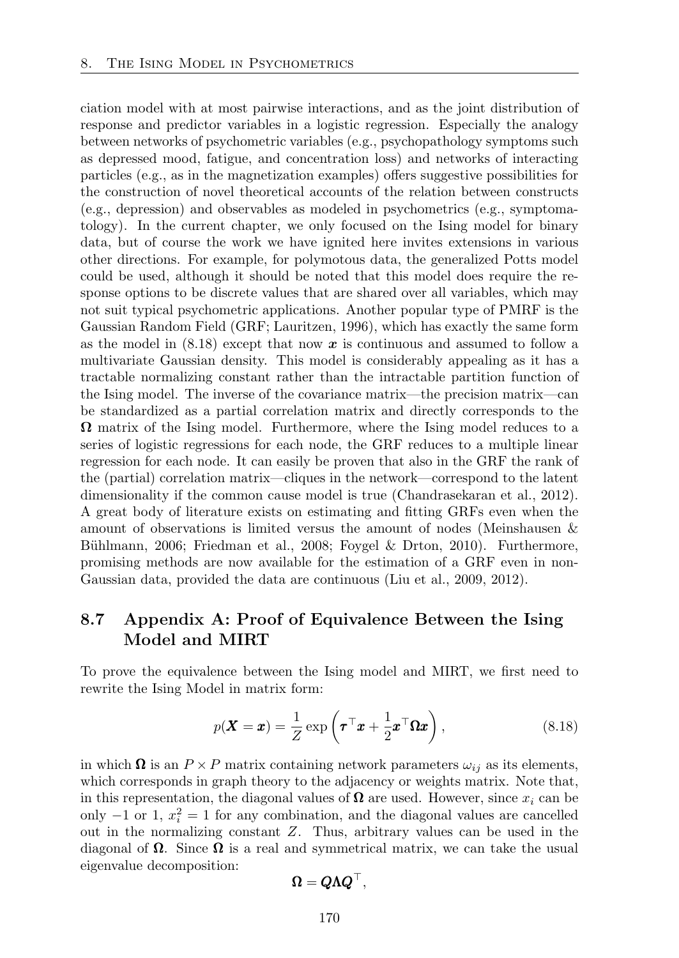ciation model with at most pairwise interactions, and as the joint distribution of response and predictor variables in a logistic regression. Especially the analogy between networks of psychometric variables (e.g., psychopathology symptoms such as depressed mood, fatigue, and concentration loss) and networks of interacting particles (e.g., as in the magnetization examples) offers suggestive possibilities for the construction of novel theoretical accounts of the relation between constructs (e.g., depression) and observables as modeled in psychometrics (e.g., symptomatology). In the current chapter, we only focused on the Ising model for binary data, but of course the work we have ignited here invites extensions in various other directions. For example, for polymotous data, the generalized Potts model could be used, although it should be noted that this model does require the response options to be discrete values that are shared over all variables, which may not suit typical psychometric applications. Another popular type of PMRF is the Gaussian Random Field (GRF; Lauritzen, 1996), which has exactly the same form as the model in (8.18) except that now *x* is continuous and assumed to follow a multivariate Gaussian density. This model is considerably appealing as it has a tractable normalizing constant rather than the intractable partition function of the Ising model. The inverse of the covariance matrix—the precision matrix—can be standardized as a partial correlation matrix and directly corresponds to the  $\Omega$  matrix of the Ising model. Furthermore, where the Ising model reduces to a series of logistic regressions for each node, the GRF reduces to a multiple linear regression for each node. It can easily be proven that also in the GRF the rank of the (partial) correlation matrix—cliques in the network—correspond to the latent dimensionality if the common cause model is true (Chandrasekaran et al., 2012). A great body of literature exists on estimating and fitting GRFs even when the amount of observations is limited versus the amount of nodes (Meinshausen & Bühlmann, 2006; Friedman et al., 2008; Foygel & Drton, 2010). Furthermore, promising methods are now available for the estimation of a GRF even in non-Gaussian data, provided the data are continuous (Liu et al., 2009, 2012).

# 8.7 Appendix A: Proof of Equivalence Between the Ising Model and MIRT

To prove the equivalence between the Ising model and MIRT, we first need to rewrite the Ising Model in matrix form:

$$
p(\boldsymbol{X} = \boldsymbol{x}) = \frac{1}{Z} \exp\left(\boldsymbol{\tau}^\top \boldsymbol{x} + \frac{1}{2} \boldsymbol{x}^\top \boldsymbol{\Omega} \boldsymbol{x}\right),\tag{8.18}
$$

in which  $\Omega$  is an  $P \times P$  matrix containing network parameters  $\omega_{ij}$  as its elements, which corresponds in graph theory to the adjacency or weights matrix. Note that, in this representation, the diagonal values of  $\Omega$  are used. However, since  $x_i$  can be only  $-1$  or 1,  $x_i^2 = 1$  for any combination, and the diagonal values are cancelled out in the normalizing constant *Z*. Thus, arbitrary values can be used in the diagonal of  $\Omega$ . Since  $\Omega$  is a real and symmetrical matrix, we can take the usual eigenvalue decomposition:

$$
\Omega = Q \Lambda Q^{\top},
$$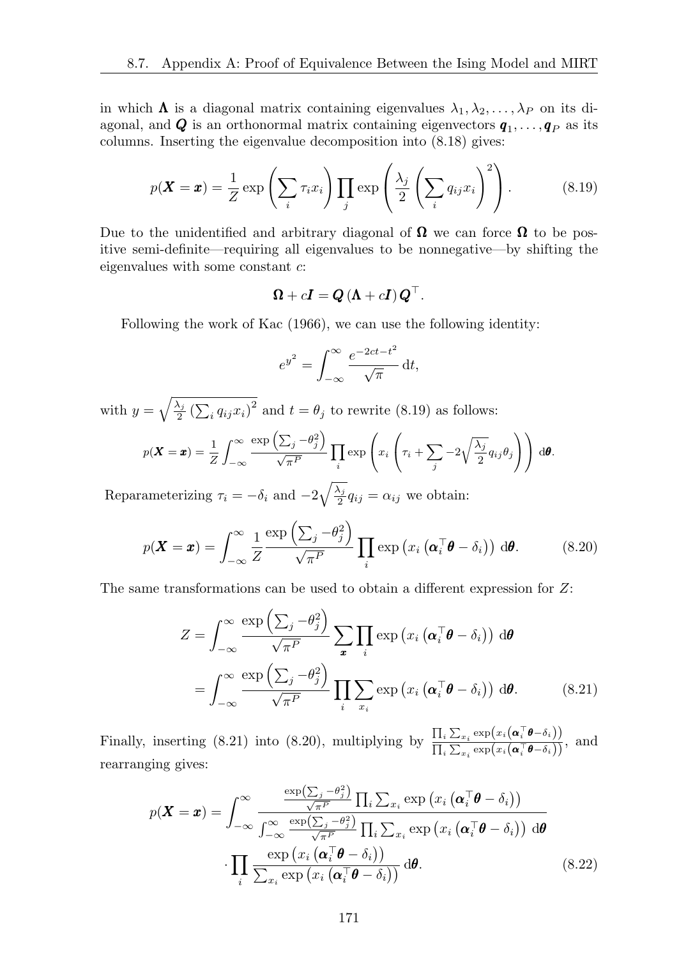in which  $\Lambda$  is a diagonal matrix containing eigenvalues  $\lambda_1, \lambda_2, \ldots, \lambda_P$  on its diagonal, and *Q* is an orthonormal matrix containing eigenvectors  $q_1, \ldots, q_p$  as its columns. Inserting the eigenvalue decomposition into (8.18) gives:

$$
p(\boldsymbol{X} = \boldsymbol{x}) = \frac{1}{Z} \exp\left(\sum_{i} \tau_{i} x_{i}\right) \prod_{j} \exp\left(\frac{\lambda_{j}}{2} \left(\sum_{i} q_{ij} x_{i}\right)^{2}\right).
$$
 (8.19)

Due to the unidentified and arbitrary diagonal of  $\Omega$  we can force  $\Omega$  to be positive semi-definite—requiring all eigenvalues to be nonnegative—by shifting the eigenvalues with some constant *c*:

$$
\boldsymbol{\Omega}+c\boldsymbol{I}= \boldsymbol{Q}\left(\boldsymbol{\Lambda}+c\boldsymbol{I}\right)\boldsymbol{Q}^{\top}.
$$

Following the work of Kac (1966), we can use the following identity:

$$
e^{y^2} = \int_{-\infty}^{\infty} \frac{e^{-2ct - t^2}}{\sqrt{\pi}} dt,
$$

with  $y = \sqrt{\frac{\lambda_j}{2} (\sum_i q_{ij} x_i)^2}$  and  $t = \theta_j$  to rewrite (8.19) as follows:

$$
p(\boldsymbol{X} = \boldsymbol{x}) = \frac{1}{Z} \int_{-\infty}^{\infty} \frac{\exp\left(\sum_{j} -\theta_{j}^{2}\right)}{\sqrt{\pi^{P}}} \prod_{i} \exp\left(x_{i}\left(\tau_{i} + \sum_{j} -2\sqrt{\frac{\lambda_{j}}{2}}q_{ij}\theta_{j}\right)\right) d\boldsymbol{\theta}.
$$

Reparameterizing  $\tau_i = -\delta_i$  and  $-2\sqrt{\frac{\lambda_j}{2}}q_{ij} = \alpha_{ij}$  we obtain:

$$
p(\boldsymbol{X} = \boldsymbol{x}) = \int_{-\infty}^{\infty} \frac{1}{Z} \frac{\exp\left(\sum_{j} -\theta_{j}^{2}\right)}{\sqrt{\pi^{P}}} \prod_{i} \exp\left(x_{i}\left(\boldsymbol{\alpha}_{i}^{\top}\boldsymbol{\theta} - \delta_{i}\right)\right) d\boldsymbol{\theta}.
$$
 (8.20)

The same transformations can be used to obtain a different expression for  $Z$ :

$$
Z = \int_{-\infty}^{\infty} \frac{\exp\left(\sum_{j} -\theta_{j}^{2}\right)}{\sqrt{\pi^{P}}} \sum_{\mathbf{x}} \prod_{i} \exp\left(x_{i}\left(\mathbf{\alpha}_{i}^{\top}\boldsymbol{\theta} - \delta_{i}\right)\right) d\boldsymbol{\theta}
$$

$$
= \int_{-\infty}^{\infty} \frac{\exp\left(\sum_{j} -\theta_{j}^{2}\right)}{\sqrt{\pi^{P}}} \prod_{i} \sum_{x_{i}} \exp\left(x_{i}\left(\mathbf{\alpha}_{i}^{\top}\boldsymbol{\theta} - \delta_{i}\right)\right) d\boldsymbol{\theta}.
$$
(8.21)

Finally, inserting (8.21) into (8.20), multiplying by  $\frac{\prod_i \sum_i \exp(x_i(\mathbf{a}_i^\top \boldsymbol{\theta} - \delta_i))}{\prod_i \sum_i \exp(x_i(\mathbf{a}_i^\top \boldsymbol{\theta} - \delta_i))}$  $\frac{\prod_i \sum_{x_i} \exp\left(x_i(\mathbf{a}_i^\top \boldsymbol{\theta} - \delta_i)\right)}{\prod_i \sum_{x_i} \exp\left(x_i(\mathbf{a}_i^\top \boldsymbol{\theta} - \delta_i)\right)}$ , and rearranging gives:

$$
p(\boldsymbol{X} = \boldsymbol{x}) = \int_{-\infty}^{\infty} \frac{\frac{\exp\left(\sum_{j} - \theta_{j}^{2}\right)}{\sqrt{\pi^{P}} \prod_{i} \sum_{x_{i}} \exp\left(x_{i}\left(\boldsymbol{\alpha}_{i}^{\top} \boldsymbol{\theta} - \delta_{i}\right)\right)}}{\int_{-\infty}^{\infty} \frac{\exp\left(\sum_{j} - \theta_{j}^{2}\right)}{\sqrt{\pi^{P}} \prod_{i} \sum_{x_{i}} \exp\left(x_{i}\left(\boldsymbol{\alpha}_{i}^{\top} \boldsymbol{\theta} - \delta_{i}\right)\right)} d\boldsymbol{\theta}} \cdot \prod_{i} \frac{\exp\left(x_{i}\left(\boldsymbol{\alpha}_{i}^{\top} \boldsymbol{\theta} - \delta_{i}\right)\right)}{\sum_{x_{i} \exp\left(x_{i}\left(\boldsymbol{\alpha}_{i}^{\top} \boldsymbol{\theta} - \delta_{i}\right)\right)} d\boldsymbol{\theta}}.
$$
\n(8.22)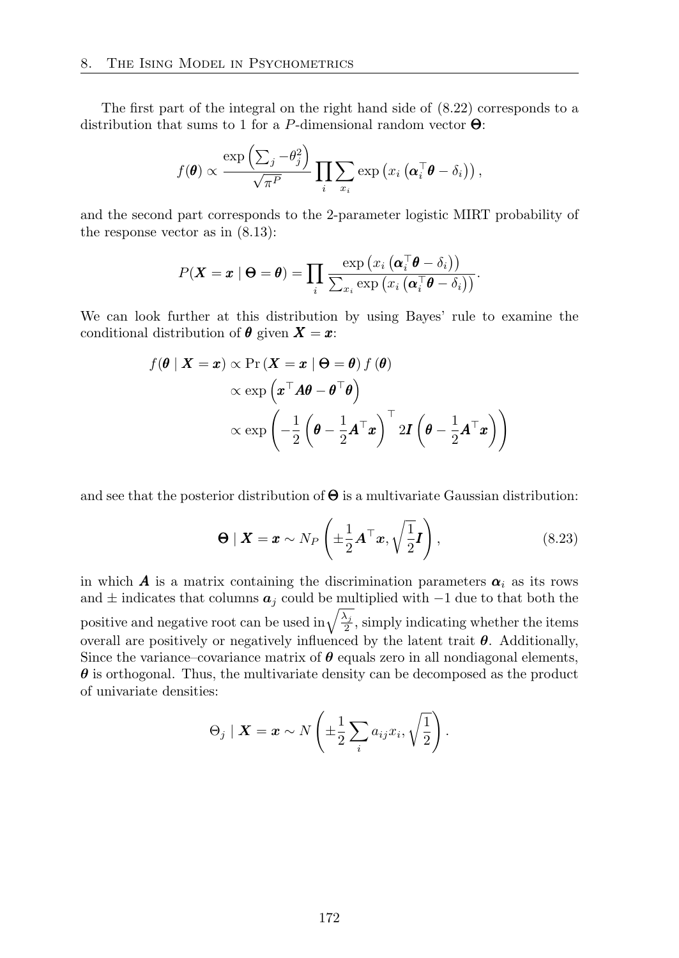The first part of the integral on the right hand side of (8.22) corresponds to a distribution that sums to 1 for a *P*-dimensional random vector  $\Theta$ :

$$
f(\boldsymbol{\theta}) \propto \frac{\exp\left(\sum_j -\theta_j^2\right)}{\sqrt{\pi^P}} \prod_i \sum_{x_i} \exp\left(x_i \left(\boldsymbol{\alpha}_i^{\top} \boldsymbol{\theta} - \delta_i\right)\right),
$$

and the second part corresponds to the 2-parameter logistic MIRT probability of the response vector as in (8.13):

$$
P(\boldsymbol{X} = \boldsymbol{x} \mid \boldsymbol{\Theta} = \boldsymbol{\theta}) = \prod_i \frac{\exp(x_i(\boldsymbol{\alpha}_i^{\top}\boldsymbol{\theta} - \delta_i))}{\sum_{x_i} \exp(x_i(\boldsymbol{\alpha}_i^{\top}\boldsymbol{\theta} - \delta_i))}.
$$

We can look further at this distribution by using Bayes' rule to examine the conditional distribution of  $\theta$  given  $X = x$ :

$$
f(\boldsymbol{\theta} \mid \boldsymbol{X} = \boldsymbol{x}) \propto \Pr(\boldsymbol{X} = \boldsymbol{x} \mid \boldsymbol{\Theta} = \boldsymbol{\theta}) f(\boldsymbol{\theta})
$$

$$
\propto \exp\left(\boldsymbol{x}^\top \boldsymbol{A} \boldsymbol{\theta} - \boldsymbol{\theta}^\top \boldsymbol{\theta}\right)
$$

$$
\propto \exp\left(-\frac{1}{2}\left(\boldsymbol{\theta} - \frac{1}{2}\boldsymbol{A}^\top \boldsymbol{x}\right)^\top 2\boldsymbol{I}\left(\boldsymbol{\theta} - \frac{1}{2}\boldsymbol{A}^\top \boldsymbol{x}\right)\right)
$$

and see that the posterior distribution of  $\Theta$  is a multivariate Gaussian distribution:

$$
\Theta \mid \boldsymbol{X} = \boldsymbol{x} \sim N_P \left( \pm \frac{1}{2} \boldsymbol{A}^\top \boldsymbol{x}, \sqrt{\frac{1}{2}} \boldsymbol{I} \right), \tag{8.23}
$$

in which *A* is a matrix containing the discrimination parameters  $\alpha_i$  as its rows and  $\pm$  indicates that columns  $a_j$  could be multiplied with  $-1$  due to that both the positive and negative root can be used in  $\sqrt{\frac{\lambda_j}{2}}$ , simply indicating whether the items overall are positively or negatively influenced by the latent trait  $\theta$ . Additionally, Since the variance–covariance matrix of  $\theta$  equals zero in all nondiagonal elements,  $\theta$  is orthogonal. Thus, the multivariate density can be decomposed as the product of univariate densities:

$$
\Theta_j \mid \boldsymbol{X} = \boldsymbol{x} \sim N\left(\pm \frac{1}{2}\sum_i a_{ij}x_i, \sqrt{\frac{1}{2}}\right).
$$